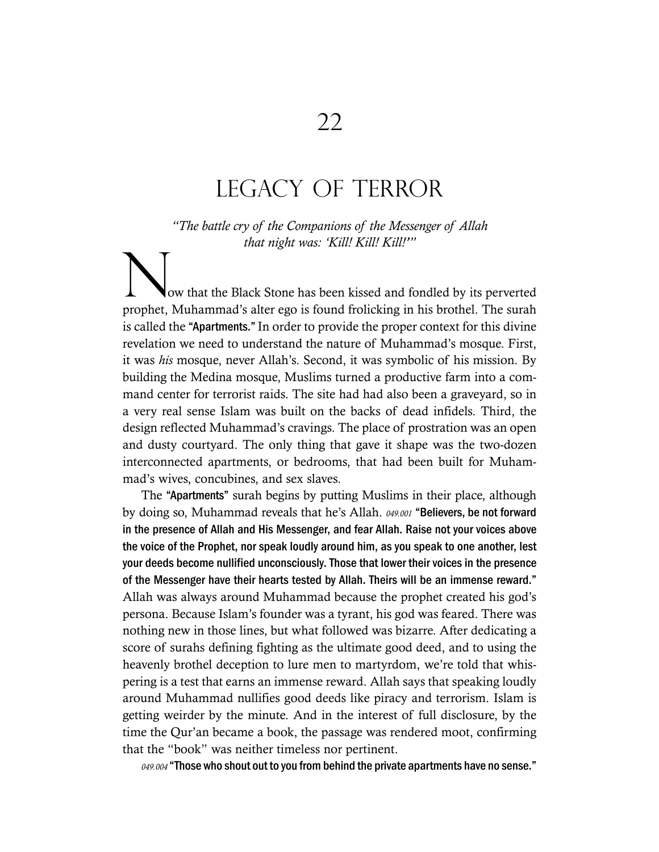## LEGACY OF TERROR

*"The battle cry of the Companions of the Messenger of Allah that night was: 'Kill! Kill! Kill!'"*

Now that the Black Stone has been kissed and fondled by its perverted prophet, Muhammad's alter ego is found frolicking in his brothel. The surah is called the "Apartments." In order to provide the proper context for this divine revelation we need to understand the nature of Muhammad's mosque. First, it was *his* mosque, never Allah's. Second, it was symbolic of his mission. By building the Medina mosque, Muslims turned a productive farm into a command center for terrorist raids. The site had had also been a graveyard, so in a very real sense Islam was built on the backs of dead infidels. Third, the design reflected Muhammad's cravings. The place of prostration was an open and dusty courtyard. The only thing that gave it shape was the two-dozen interconnected apartments, or bedrooms, that had been built for Muhammad's wives, concubines, and sex slaves.

The "Apartments" surah begins by putting Muslims in their place, although by doing so, Muhammad reveals that he's Allah. *049.001* "Believers, be not forward in the presence of Allah and His Messenger, and fear Allah. Raise not your voices above the voice of the Prophet, nor speak loudly around him, as you speak to one another, lest your deeds become nullified unconsciously. Those that lower their voices in the presence of the Messenger have their hearts tested by Allah. Theirs will be an immense reward." Allah was always around Muhammad because the prophet created his god's persona. Because Islam's founder was a tyrant, his god was feared. There was nothing new in those lines, but what followed was bizarre. After dedicating a score of surahs defining fighting as the ultimate good deed, and to using the heavenly brothel deception to lure men to martyrdom, we're told that whispering is a test that earns an immense reward. Allah says that speaking loudly around Muhammad nullifies good deeds like piracy and terrorism. Islam is getting weirder by the minute. And in the interest of full disclosure, by the time the Qur'an became a book, the passage was rendered moot, confirming that the "book" was neither timeless nor pertinent.

*049.004* "Those who shout out to you from behind the private apartments have no sense."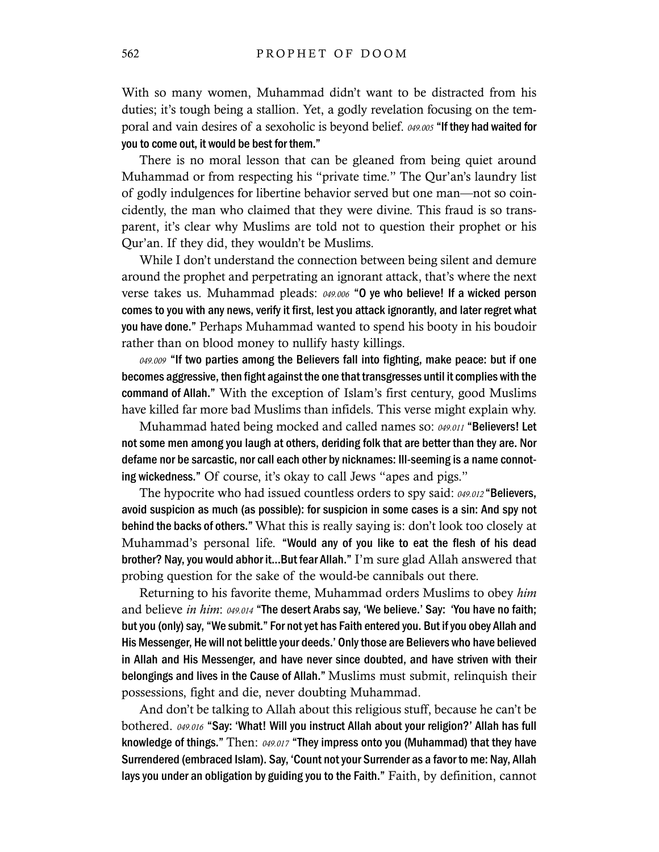With so many women, Muhammad didn't want to be distracted from his duties; it's tough being a stallion. Yet, a godly revelation focusing on the temporal and vain desires of a sexoholic is beyond belief. *049.005* "If they had waited for you to come out, it would be best for them."

There is no moral lesson that can be gleaned from being quiet around Muhammad or from respecting his "private time." The Qur'an's laundry list of godly indulgences for libertine behavior served but one man—not so coincidently, the man who claimed that they were divine. This fraud is so transparent, it's clear why Muslims are told not to question their prophet or his Qur'an. If they did, they wouldn't be Muslims.

While I don't understand the connection between being silent and demure around the prophet and perpetrating an ignorant attack, that's where the next verse takes us. Muhammad pleads: *049.006* "O ye who believe! If a wicked person comes to you with any news, verify it first, lest you attack ignorantly, and later regret what you have done." Perhaps Muhammad wanted to spend his booty in his boudoir rather than on blood money to nullify hasty killings.

*049.009* "If two parties among the Believers fall into fighting, make peace: but if one becomes aggressive, then fight against the one that transgresses until it complies with the command of Allah." With the exception of Islam's first century, good Muslims have killed far more bad Muslims than infidels. This verse might explain why.

Muhammad hated being mocked and called names so: *049.011* "Believers! Let not some men among you laugh at others, deriding folk that are better than they are. Nor defame nor be sarcastic, nor call each other by nicknames: Ill-seeming is a name connoting wickedness." Of course, it's okay to call Jews "apes and pigs."

The hypocrite who had issued countless orders to spy said: *049.012* "Believers, avoid suspicion as much (as possible): for suspicion in some cases is a sin: And spy not behind the backs of others." What this is really saying is: don't look too closely at Muhammad's personal life. "Would any of you like to eat the flesh of his dead brother? Nay, you would abhor it...But fear Allah." I'm sure glad Allah answered that probing question for the sake of the would-be cannibals out there.

Returning to his favorite theme, Muhammad orders Muslims to obey *him* and believe *in him*: *049.014* "The desert Arabs say, 'We believe.' Say: 'You have no faith; but you (only) say, "We submit." For not yet has Faith entered you. But if you obey Allah and His Messenger, He will not belittle your deeds.' Only those are Believers who have believed in Allah and His Messenger, and have never since doubted, and have striven with their belongings and lives in the Cause of Allah." Muslims must submit, relinquish their possessions, fight and die, never doubting Muhammad.

And don't be talking to Allah about this religious stuff, because he can't be bothered. *049.016* "Say: 'What! Will you instruct Allah about your religion?' Allah has full knowledge of things." Then: *049.017* "They impress onto you (Muhammad) that they have Surrendered (embraced Islam). Say, 'Count not your Surrender as a favor to me: Nay, Allah lays you under an obligation by guiding you to the Faith." Faith, by definition, cannot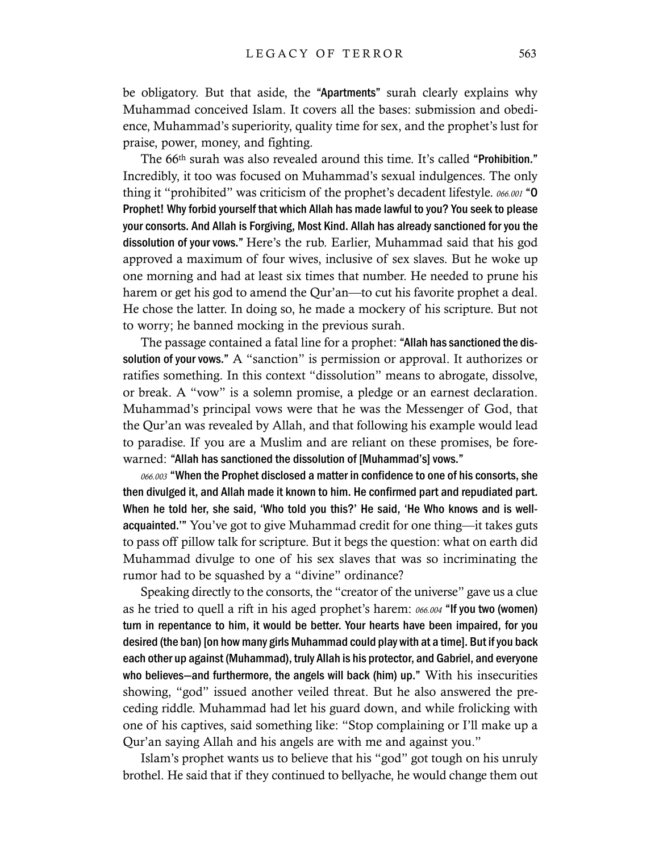be obligatory. But that aside, the "Apartments" surah clearly explains why Muhammad conceived Islam. It covers all the bases: submission and obedience, Muhammad's superiority, quality time for sex, and the prophet's lust for praise, power, money, and fighting.

The 66th surah was also revealed around this time. It's called "Prohibition." Incredibly, it too was focused on Muhammad's sexual indulgences. The only thing it "prohibited" was criticism of the prophet's decadent lifestyle. *066.001* "O Prophet! Why forbid yourself that which Allah has made lawful to you? You seek to please your consorts. And Allah is Forgiving, Most Kind. Allah has already sanctioned for you the dissolution of your vows." Here's the rub. Earlier, Muhammad said that his god approved a maximum of four wives, inclusive of sex slaves. But he woke up one morning and had at least six times that number. He needed to prune his harem or get his god to amend the Qur'an—to cut his favorite prophet a deal. He chose the latter. In doing so, he made a mockery of his scripture. But not to worry; he banned mocking in the previous surah.

The passage contained a fatal line for a prophet: "Allah has sanctioned the dissolution of your vows." A "sanction" is permission or approval. It authorizes or ratifies something. In this context "dissolution" means to abrogate, dissolve, or break. A "vow" is a solemn promise, a pledge or an earnest declaration. Muhammad's principal vows were that he was the Messenger of God, that the Qur'an was revealed by Allah, and that following his example would lead to paradise. If you are a Muslim and are reliant on these promises, be forewarned: "Allah has sanctioned the dissolution of [Muhammad's] vows."

*066.003* "When the Prophet disclosed a matter in confidence to one of his consorts, she then divulged it, and Allah made it known to him. He confirmed part and repudiated part. When he told her, she said, 'Who told you this?' He said, 'He Who knows and is wellacquainted.'" You've got to give Muhammad credit for one thing—it takes guts to pass off pillow talk for scripture. But it begs the question: what on earth did Muhammad divulge to one of his sex slaves that was so incriminating the rumor had to be squashed by a "divine" ordinance?

Speaking directly to the consorts, the "creator of the universe" gave us a clue as he tried to quell a rift in his aged prophet's harem: *066.004* "If you two (women) turn in repentance to him, it would be better. Your hearts have been impaired, for you desired (the ban) [on how many girls Muhammad could play with at a time]. But if you back each other up against (Muhammad), truly Allah is his protector, and Gabriel, and everyone who believes—and furthermore, the angels will back (him) up." With his insecurities showing, "god" issued another veiled threat. But he also answered the preceding riddle. Muhammad had let his guard down, and while frolicking with one of his captives, said something like: "Stop complaining or I'll make up a Qur'an saying Allah and his angels are with me and against you."

Islam's prophet wants us to believe that his "god" got tough on his unruly brothel. He said that if they continued to bellyache, he would change them out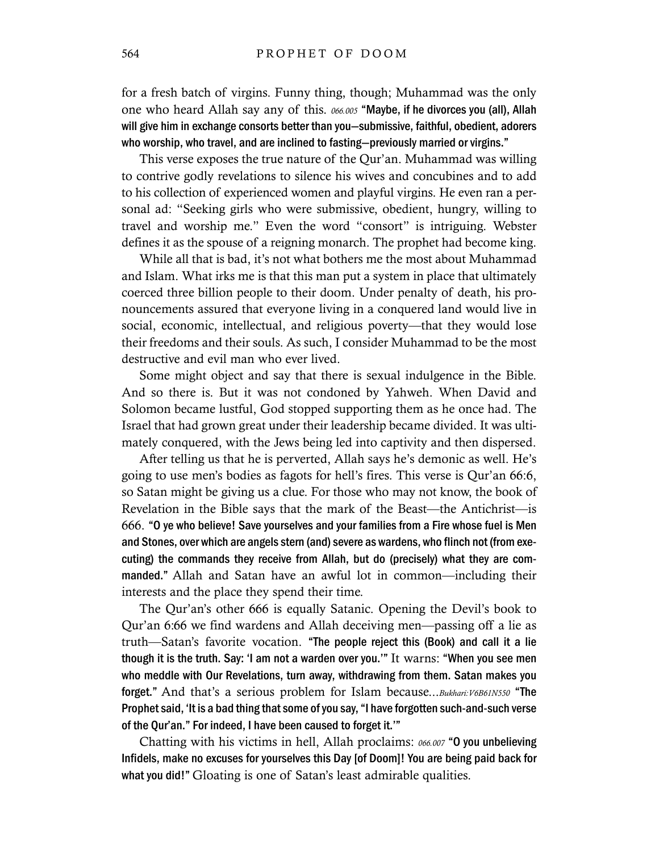for a fresh batch of virgins. Funny thing, though; Muhammad was the only one who heard Allah say any of this. *066.005* "Maybe, if he divorces you (all), Allah will give him in exchange consorts better than you—submissive, faithful, obedient, adorers who worship, who travel, and are inclined to fasting-previously married or virgins."

This verse exposes the true nature of the Qur'an. Muhammad was willing to contrive godly revelations to silence his wives and concubines and to add to his collection of experienced women and playful virgins. He even ran a personal ad: "Seeking girls who were submissive, obedient, hungry, willing to travel and worship me." Even the word "consort" is intriguing. Webster defines it as the spouse of a reigning monarch. The prophet had become king.

While all that is bad, it's not what bothers me the most about Muhammad and Islam. What irks me is that this man put a system in place that ultimately coerced three billion people to their doom. Under penalty of death, his pronouncements assured that everyone living in a conquered land would live in social, economic, intellectual, and religious poverty—that they would lose their freedoms and their souls. As such, I consider Muhammad to be the most destructive and evil man who ever lived.

Some might object and say that there is sexual indulgence in the Bible. And so there is. But it was not condoned by Yahweh. When David and Solomon became lustful, God stopped supporting them as he once had. The Israel that had grown great under their leadership became divided. It was ultimately conquered, with the Jews being led into captivity and then dispersed.

After telling us that he is perverted, Allah says he's demonic as well. He's going to use men's bodies as fagots for hell's fires. This verse is Qur'an 66:6, so Satan might be giving us a clue. For those who may not know, the book of Revelation in the Bible says that the mark of the Beast—the Antichrist—is 666. "O ye who believe! Save yourselves and your families from a Fire whose fuel is Men and Stones, over which are angels stern (and) severe as wardens, who flinch not (from executing) the commands they receive from Allah, but do (precisely) what they are commanded." Allah and Satan have an awful lot in common—including their interests and the place they spend their time.

The Qur'an's other 666 is equally Satanic. Opening the Devil's book to Qur'an 6:66 we find wardens and Allah deceiving men—passing off a lie as truth—Satan's favorite vocation. "The people reject this (Book) and call it a lie though it is the truth. Say: 'I am not a warden over you.'" It warns: "When you see men who meddle with Our Revelations, turn away, withdrawing from them. Satan makes you forget." And that's a serious problem for Islam because...*Bukhari:V6B61N550* "The Prophet said, 'It is a bad thing that some of you say, "I have forgotten such-and-such verse of the Qur'an." For indeed, I have been caused to forget it.'"

Chatting with his victims in hell, Allah proclaims: *066.007* "O you unbelieving Infidels, make no excuses for yourselves this Day [of Doom]! You are being paid back for what you did!" Gloating is one of Satan's least admirable qualities.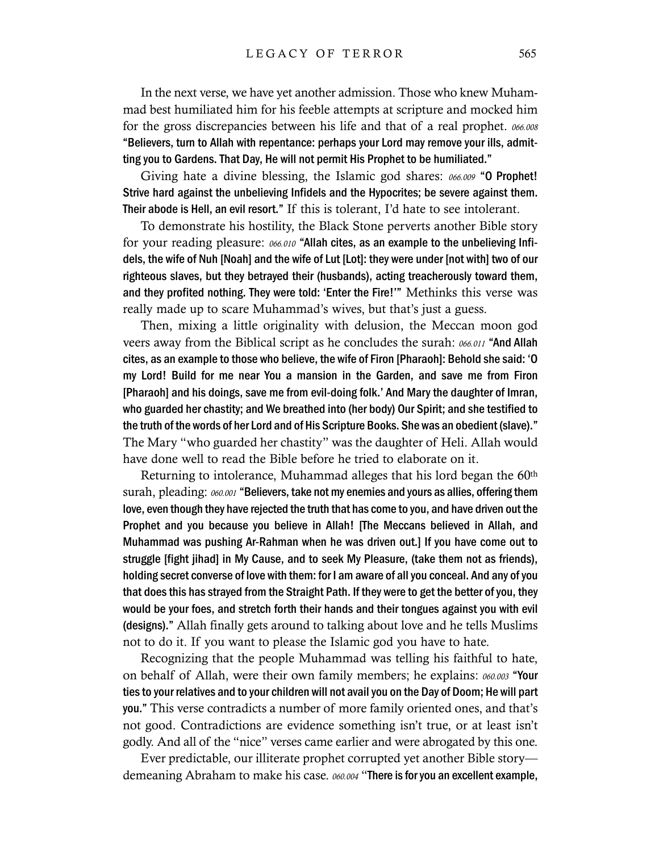In the next verse, we have yet another admission. Those who knew Muhammad best humiliated him for his feeble attempts at scripture and mocked him for the gross discrepancies between his life and that of a real prophet. *066.008* "Believers, turn to Allah with repentance: perhaps your Lord may remove your ills, admitting you to Gardens. That Day, He will not permit His Prophet to be humiliated."

Giving hate a divine blessing, the Islamic god shares: *066.009* "O Prophet! Strive hard against the unbelieving Infidels and the Hypocrites; be severe against them. Their abode is Hell, an evil resort." If this is tolerant, I'd hate to see intolerant.

To demonstrate his hostility, the Black Stone perverts another Bible story for your reading pleasure: *066.010* "Allah cites, as an example to the unbelieving Infidels, the wife of Nuh [Noah] and the wife of Lut [Lot]: they were under [not with] two of our righteous slaves, but they betrayed their (husbands), acting treacherously toward them, and they profited nothing. They were told: 'Enter the Fire!'" Methinks this verse was really made up to scare Muhammad's wives, but that's just a guess.

Then, mixing a little originality with delusion, the Meccan moon god veers away from the Biblical script as he concludes the surah: *066.011* "And Allah cites, as an example to those who believe, the wife of Firon [Pharaoh]: Behold she said: 'O my Lord! Build for me near You a mansion in the Garden, and save me from Firon [Pharaoh] and his doings, save me from evil-doing folk.' And Mary the daughter of Imran, who guarded her chastity; and We breathed into (her body) Our Spirit; and she testified to the truth of the words of her Lord and of His Scripture Books. She was an obedient (slave)." The Mary "who guarded her chastity" was the daughter of Heli. Allah would have done well to read the Bible before he tried to elaborate on it.

Returning to intolerance, Muhammad alleges that his lord began the 60<sup>th</sup> surah, pleading: *060.001* "Believers, take not my enemies and yours as allies, offering them love, even though they have rejected the truth that has come to you, and have driven out the Prophet and you because you believe in Allah! [The Meccans believed in Allah, and Muhammad was pushing Ar-Rahman when he was driven out.] If you have come out to struggle [fight jihad] in My Cause, and to seek My Pleasure, (take them not as friends), holding secret converse of love with them: for I am aware of all you conceal. And any of you that does this has strayed from the Straight Path. If they were to get the better of you, they would be your foes, and stretch forth their hands and their tongues against you with evil (designs)." Allah finally gets around to talking about love and he tells Muslims not to do it. If you want to please the Islamic god you have to hate.

Recognizing that the people Muhammad was telling his faithful to hate, on behalf of Allah, were their own family members; he explains: *060.003* "Your ties to your relatives and to your children will not avail you on the Day of Doom; He will part you." This verse contradicts a number of more family oriented ones, and that's not good. Contradictions are evidence something isn't true, or at least isn't godly. And all of the "nice" verses came earlier and were abrogated by this one.

Ever predictable, our illiterate prophet corrupted yet another Bible story demeaning Abraham to make his case. *060.004* "There is for you an excellent example,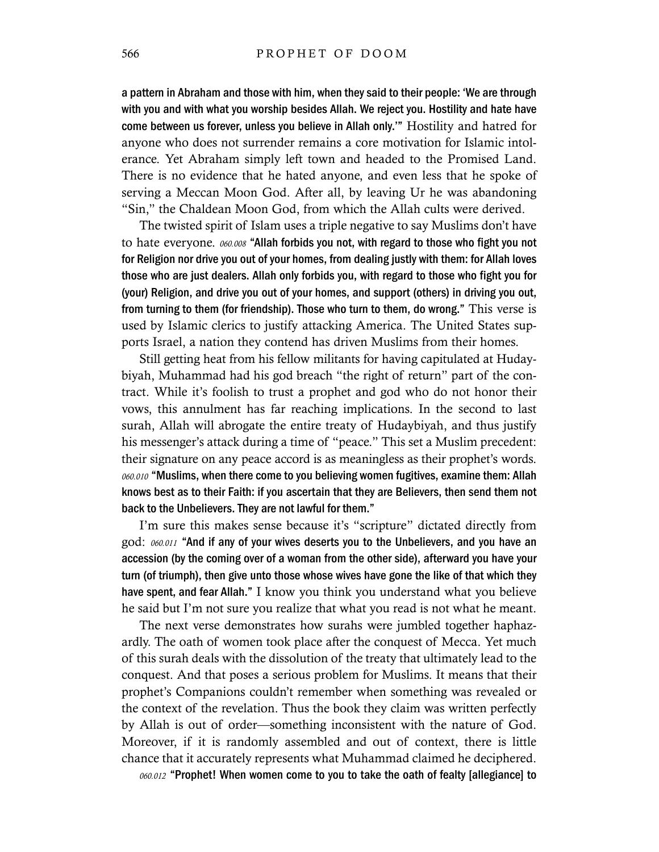a pattern in Abraham and those with him, when they said to their people: 'We are through with you and with what you worship besides Allah. We reject you. Hostility and hate have come between us forever, unless you believe in Allah only.'" Hostility and hatred for anyone who does not surrender remains a core motivation for Islamic intolerance. Yet Abraham simply left town and headed to the Promised Land. There is no evidence that he hated anyone, and even less that he spoke of serving a Meccan Moon God. After all, by leaving Ur he was abandoning "Sin," the Chaldean Moon God, from which the Allah cults were derived.

The twisted spirit of Islam uses a triple negative to say Muslims don't have to hate everyone. *060.008* "Allah forbids you not, with regard to those who fight you not for Religion nor drive you out of your homes, from dealing justly with them: for Allah loves those who are just dealers. Allah only forbids you, with regard to those who fight you for (your) Religion, and drive you out of your homes, and support (others) in driving you out, from turning to them (for friendship). Those who turn to them, do wrong." This verse is used by Islamic clerics to justify attacking America. The United States supports Israel, a nation they contend has driven Muslims from their homes.

Still getting heat from his fellow militants for having capitulated at Hudaybiyah, Muhammad had his god breach "the right of return" part of the contract. While it's foolish to trust a prophet and god who do not honor their vows, this annulment has far reaching implications. In the second to last surah, Allah will abrogate the entire treaty of Hudaybiyah, and thus justify his messenger's attack during a time of "peace." This set a Muslim precedent: their signature on any peace accord is as meaningless as their prophet's words. *060.010* "Muslims, when there come to you believing women fugitives, examine them: Allah knows best as to their Faith: if you ascertain that they are Believers, then send them not back to the Unbelievers. They are not lawful for them."

I'm sure this makes sense because it's "scripture" dictated directly from god: *060.011* "And if any of your wives deserts you to the Unbelievers, and you have an accession (by the coming over of a woman from the other side), afterward you have your turn (of triumph), then give unto those whose wives have gone the like of that which they have spent, and fear Allah." I know you think you understand what you believe he said but I'm not sure you realize that what you read is not what he meant.

The next verse demonstrates how surahs were jumbled together haphazardly. The oath of women took place after the conquest of Mecca. Yet much of this surah deals with the dissolution of the treaty that ultimately lead to the conquest. And that poses a serious problem for Muslims. It means that their prophet's Companions couldn't remember when something was revealed or the context of the revelation. Thus the book they claim was written perfectly by Allah is out of order—something inconsistent with the nature of God. Moreover, if it is randomly assembled and out of context, there is little chance that it accurately represents what Muhammad claimed he deciphered.

*060.012* "Prophet! When women come to you to take the oath of fealty [allegiance] to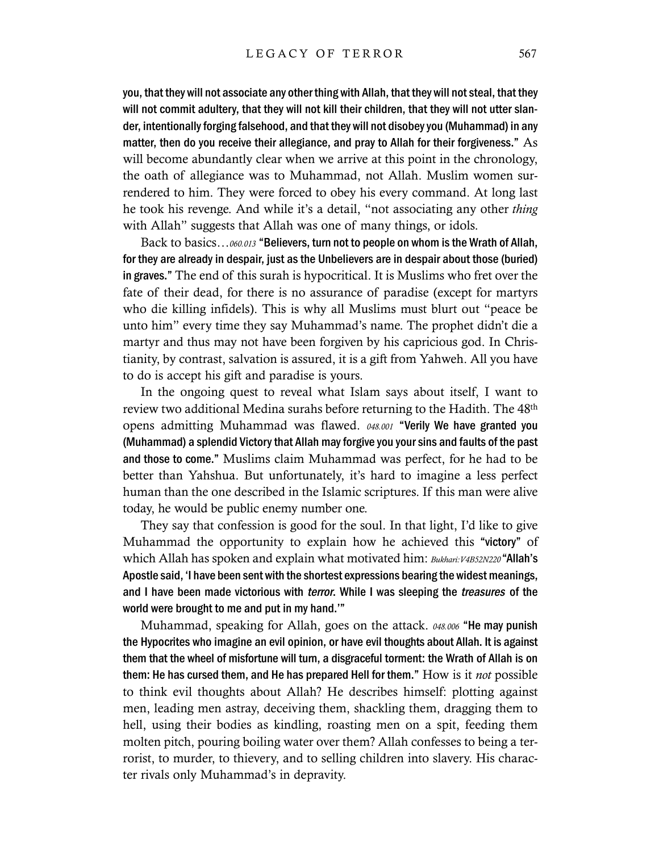you, that they will not associate any other thing with Allah, that they will not steal, that they will not commit adultery, that they will not kill their children, that they will not utter slander, intentionally forging falsehood, and that they will not disobey you (Muhammad) in any matter, then do you receive their allegiance, and pray to Allah for their forgiveness." As will become abundantly clear when we arrive at this point in the chronology, the oath of allegiance was to Muhammad, not Allah. Muslim women surrendered to him. They were forced to obey his every command. At long last he took his revenge. And while it's a detail, "not associating any other *thing* with Allah" suggests that Allah was one of many things, or idols.

Back to basics…*060.013* "Believers, turn not to people on whom is the Wrath of Allah, for they are already in despair, just as the Unbelievers are in despair about those (buried) in graves." The end of this surah is hypocritical. It is Muslims who fret over the fate of their dead, for there is no assurance of paradise (except for martyrs who die killing infidels). This is why all Muslims must blurt out "peace be unto him" every time they say Muhammad's name. The prophet didn't die a martyr and thus may not have been forgiven by his capricious god. In Christianity, by contrast, salvation is assured, it is a gift from Yahweh. All you have to do is accept his gift and paradise is yours.

In the ongoing quest to reveal what Islam says about itself, I want to review two additional Medina surahs before returning to the Hadith. The 48th opens admitting Muhammad was flawed. *048.001* "Verily We have granted you (Muhammad) a splendid Victory that Allah may forgive you your sins and faults of the past and those to come." Muslims claim Muhammad was perfect, for he had to be better than Yahshua. But unfortunately, it's hard to imagine a less perfect human than the one described in the Islamic scriptures. If this man were alive today, he would be public enemy number one.

They say that confession is good for the soul. In that light, I'd like to give Muhammad the opportunity to explain how he achieved this "victory" of which Allah has spoken and explain what motivated him: *Bukhari:V4B52N220* "Allah's Apostle said, 'I have been sent with the shortest expressions bearing the widest meanings, and I have been made victorious with *terror*. While I was sleeping the *treasures* of the world were brought to me and put in my hand.'"

Muhammad, speaking for Allah, goes on the attack. *048.006* "He may punish the Hypocrites who imagine an evil opinion, or have evil thoughts about Allah. It is against them that the wheel of misfortune will turn, a disgraceful torment: the Wrath of Allah is on them: He has cursed them, and He has prepared Hell for them." How is it *not* possible to think evil thoughts about Allah? He describes himself: plotting against men, leading men astray, deceiving them, shackling them, dragging them to hell, using their bodies as kindling, roasting men on a spit, feeding them molten pitch, pouring boiling water over them? Allah confesses to being a terrorist, to murder, to thievery, and to selling children into slavery. His character rivals only Muhammad's in depravity.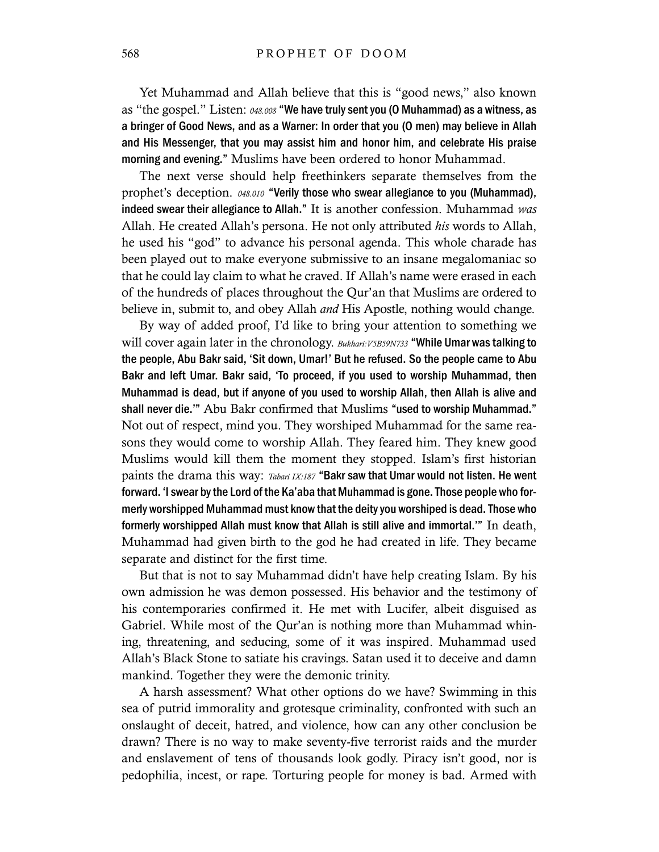Yet Muhammad and Allah believe that this is "good news," also known as "the gospel." Listen: *048.008* "We have truly sent you (O Muhammad) as a witness, as a bringer of Good News, and as a Warner: In order that you (O men) may believe in Allah and His Messenger, that you may assist him and honor him, and celebrate His praise morning and evening." Muslims have been ordered to honor Muhammad.

The next verse should help freethinkers separate themselves from the prophet's deception. *048.010* "Verily those who swear allegiance to you (Muhammad), indeed swear their allegiance to Allah." It is another confession. Muhammad *was* Allah. He created Allah's persona. He not only attributed *his* words to Allah, he used his "god" to advance his personal agenda. This whole charade has been played out to make everyone submissive to an insane megalomaniac so that he could lay claim to what he craved. If Allah's name were erased in each of the hundreds of places throughout the Qur'an that Muslims are ordered to believe in, submit to, and obey Allah *and* His Apostle, nothing would change.

By way of added proof, I'd like to bring your attention to something we will cover again later in the chronology. *Bukhari:V5B59N733* "While Umar was talking to the people, Abu Bakr said, 'Sit down, Umar!' But he refused. So the people came to Abu Bakr and left Umar. Bakr said, 'To proceed, if you used to worship Muhammad, then Muhammad is dead, but if anyone of you used to worship Allah, then Allah is alive and shall never die.'" Abu Bakr confirmed that Muslims "used to worship Muhammad." Not out of respect, mind you. They worshiped Muhammad for the same reasons they would come to worship Allah. They feared him. They knew good Muslims would kill them the moment they stopped. Islam's first historian paints the drama this way: *Tabari IX:187* "Bakr saw that Umar would not listen. He went forward. 'I swear by the Lord of the Ka'aba that Muhammad is gone. Those people who formerly worshipped Muhammad must know that the deity you worshiped is dead. Those who formerly worshipped Allah must know that Allah is still alive and immortal.'" In death, Muhammad had given birth to the god he had created in life. They became separate and distinct for the first time.

But that is not to say Muhammad didn't have help creating Islam. By his own admission he was demon possessed. His behavior and the testimony of his contemporaries confirmed it. He met with Lucifer, albeit disguised as Gabriel. While most of the Qur'an is nothing more than Muhammad whining, threatening, and seducing, some of it was inspired. Muhammad used Allah's Black Stone to satiate his cravings. Satan used it to deceive and damn mankind. Together they were the demonic trinity.

A harsh assessment? What other options do we have? Swimming in this sea of putrid immorality and grotesque criminality, confronted with such an onslaught of deceit, hatred, and violence, how can any other conclusion be drawn? There is no way to make seventy-five terrorist raids and the murder and enslavement of tens of thousands look godly. Piracy isn't good, nor is pedophilia, incest, or rape. Torturing people for money is bad. Armed with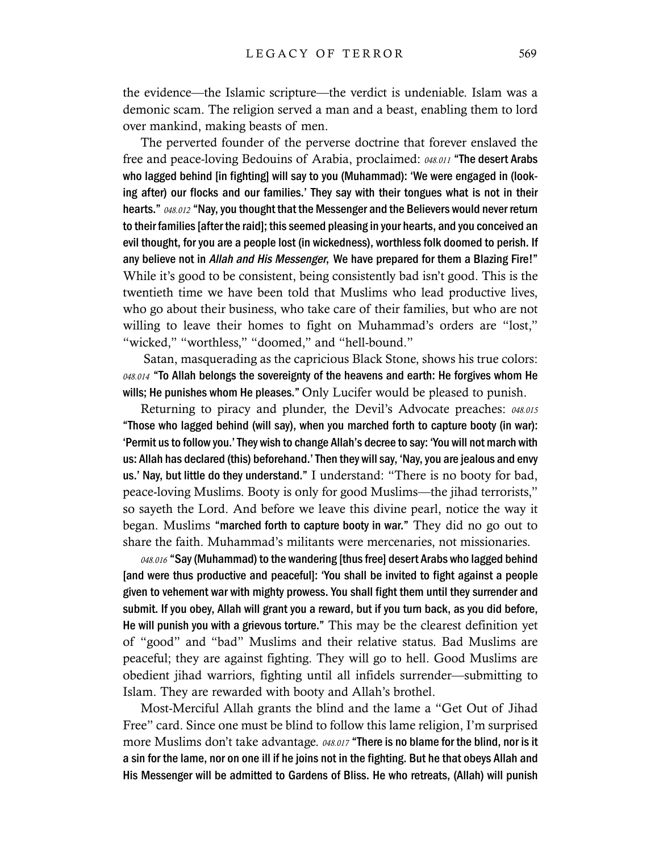the evidence—the Islamic scripture—the verdict is undeniable. Islam was a demonic scam. The religion served a man and a beast, enabling them to lord over mankind, making beasts of men.

The perverted founder of the perverse doctrine that forever enslaved the free and peace-loving Bedouins of Arabia, proclaimed: *048.011* "The desert Arabs who lagged behind [in fighting] will say to you (Muhammad): 'We were engaged in (looking after) our flocks and our families.' They say with their tongues what is not in their hearts." *048.012* "Nay, you thought that the Messenger and the Believers would never return to their families [after the raid]; this seemed pleasing in your hearts, and you conceived an evil thought, for you are a people lost (in wickedness), worthless folk doomed to perish. If any believe not in *Allah and His Messenger*, We have prepared for them a Blazing Fire!" While it's good to be consistent, being consistently bad isn't good. This is the twentieth time we have been told that Muslims who lead productive lives, who go about their business, who take care of their families, but who are not willing to leave their homes to fight on Muhammad's orders are "lost," "wicked," "worthless," "doomed," and "hell-bound."

Satan, masquerading as the capricious Black Stone, shows his true colors: *048.014* "To Allah belongs the sovereignty of the heavens and earth: He forgives whom He wills; He punishes whom He pleases." Only Lucifer would be pleased to punish.

Returning to piracy and plunder, the Devil's Advocate preaches: *048.015* "Those who lagged behind (will say), when you marched forth to capture booty (in war): 'Permit us to follow you.' They wish to change Allah's decree to say: 'You will not march with us: Allah has declared (this) beforehand.' Then they will say, 'Nay, you are jealous and envy us.' Nay, but little do they understand." I understand: "There is no booty for bad, peace-loving Muslims. Booty is only for good Muslims—the jihad terrorists," so sayeth the Lord. And before we leave this divine pearl, notice the way it began. Muslims "marched forth to capture booty in war." They did no go out to share the faith. Muhammad's militants were mercenaries, not missionaries.

*048.016* "Say (Muhammad) to the wandering [thus free] desert Arabs who lagged behind [and were thus productive and peaceful]: 'You shall be invited to fight against a people given to vehement war with mighty prowess. You shall fight them until they surrender and submit. If you obey, Allah will grant you a reward, but if you turn back, as you did before, He will punish you with a grievous torture." This may be the clearest definition yet of "good" and "bad" Muslims and their relative status. Bad Muslims are peaceful; they are against fighting. They will go to hell. Good Muslims are obedient jihad warriors, fighting until all infidels surrender—submitting to Islam. They are rewarded with booty and Allah's brothel.

Most-Merciful Allah grants the blind and the lame a "Get Out of Jihad Free" card. Since one must be blind to follow this lame religion, I'm surprised more Muslims don't take advantage. *048.017* "There is no blame for the blind, nor is it a sin for the lame, nor on one ill if he joins not in the fighting. But he that obeys Allah and His Messenger will be admitted to Gardens of Bliss. He who retreats, (Allah) will punish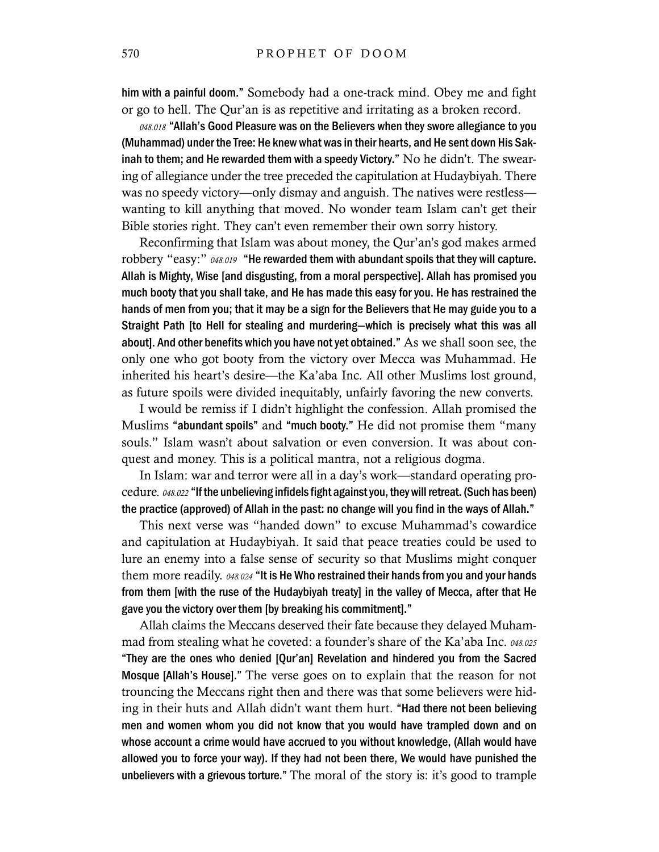him with a painful doom." Somebody had a one-track mind. Obey me and fight or go to hell. The Qur'an is as repetitive and irritating as a broken record.

*048.018* "Allah's Good Pleasure was on the Believers when they swore allegiance to you (Muhammad) under the Tree: He knew what was in their hearts, and He sent down His Sakinah to them; and He rewarded them with a speedy Victory." No he didn't. The swearing of allegiance under the tree preceded the capitulation at Hudaybiyah. There was no speedy victory—only dismay and anguish. The natives were restless wanting to kill anything that moved. No wonder team Islam can't get their Bible stories right. They can't even remember their own sorry history.

Reconfirming that Islam was about money, the Qur'an's god makes armed robbery "easy:" *048.019* "He rewarded them with abundant spoils that they will capture. Allah is Mighty, Wise [and disgusting, from a moral perspective]. Allah has promised you much booty that you shall take, and He has made this easy for you. He has restrained the hands of men from you; that it may be a sign for the Believers that He may guide you to a Straight Path [to Hell for stealing and murdering—which is precisely what this was all about]. And other benefits which you have not yet obtained." As we shall soon see, the only one who got booty from the victory over Mecca was Muhammad. He inherited his heart's desire—the Ka'aba Inc. All other Muslims lost ground, as future spoils were divided inequitably, unfairly favoring the new converts.

I would be remiss if I didn't highlight the confession. Allah promised the Muslims "abundant spoils" and "much booty." He did not promise them "many souls." Islam wasn't about salvation or even conversion. It was about conquest and money. This is a political mantra, not a religious dogma.

In Islam: war and terror were all in a day's work—standard operating procedure. *048.022* "If the unbelieving infidels fight against you, they will retreat. (Such has been) the practice (approved) of Allah in the past: no change will you find in the ways of Allah."

This next verse was "handed down" to excuse Muhammad's cowardice and capitulation at Hudaybiyah. It said that peace treaties could be used to lure an enemy into a false sense of security so that Muslims might conquer them more readily. *048.024* "It is He Who restrained their hands from you and your hands from them [with the ruse of the Hudaybiyah treaty] in the valley of Mecca, after that He gave you the victory over them [by breaking his commitment]."

Allah claims the Meccans deserved their fate because they delayed Muhammad from stealing what he coveted: a founder's share of the Ka'aba Inc. *048.025* "They are the ones who denied [Qur'an] Revelation and hindered you from the Sacred Mosque [Allah's House]." The verse goes on to explain that the reason for not trouncing the Meccans right then and there was that some believers were hiding in their huts and Allah didn't want them hurt. "Had there not been believing men and women whom you did not know that you would have trampled down and on whose account a crime would have accrued to you without knowledge, (Allah would have allowed you to force your way). If they had not been there, We would have punished the unbelievers with a grievous torture." The moral of the story is: it's good to trample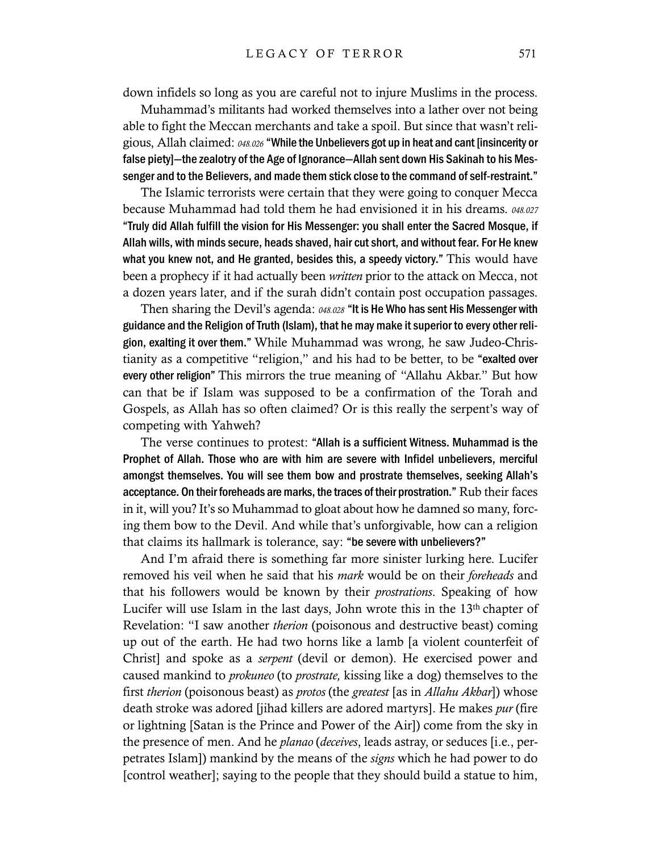down infidels so long as you are careful not to injure Muslims in the process.

Muhammad's militants had worked themselves into a lather over not being able to fight the Meccan merchants and take a spoil. But since that wasn't religious, Allah claimed: *048.026* "While the Unbelievers got up in heat and cant [insincerity or false piety]—the zealotry of the Age of Ignorance—Allah sent down His Sakinah to his Messenger and to the Believers, and made them stick close to the command of self-restraint."

The Islamic terrorists were certain that they were going to conquer Mecca because Muhammad had told them he had envisioned it in his dreams. *048.027* "Truly did Allah fulfill the vision for His Messenger: you shall enter the Sacred Mosque, if Allah wills, with minds secure, heads shaved, hair cut short, and without fear. For He knew what you knew not, and He granted, besides this, a speedy victory." This would have been a prophecy if it had actually been *written* prior to the attack on Mecca, not a dozen years later, and if the surah didn't contain post occupation passages.

Then sharing the Devil's agenda: *048.028* "It is He Who has sent His Messenger with guidance and the Religion of Truth (Islam), that he may make it superior to every other religion, exalting it over them." While Muhammad was wrong, he saw Judeo-Christianity as a competitive "religion," and his had to be better, to be "exalted over every other religion" This mirrors the true meaning of "Allahu Akbar." But how can that be if Islam was supposed to be a confirmation of the Torah and Gospels, as Allah has so often claimed? Or is this really the serpent's way of competing with Yahweh?

The verse continues to protest: "Allah is a sufficient Witness. Muhammad is the Prophet of Allah. Those who are with him are severe with Infidel unbelievers, merciful amongst themselves. You will see them bow and prostrate themselves, seeking Allah's acceptance. On their foreheads are marks, the traces of their prostration." Rub their faces in it, will you? It's so Muhammad to gloat about how he damned so many, forcing them bow to the Devil. And while that's unforgivable, how can a religion that claims its hallmark is tolerance, say: "be severe with unbelievers?"

And I'm afraid there is something far more sinister lurking here. Lucifer removed his veil when he said that his *mark* would be on their *foreheads* and that his followers would be known by their *prostrations*. Speaking of how Lucifer will use Islam in the last days, John wrote this in the 13<sup>th</sup> chapter of Revelation: "I saw another *therion* (poisonous and destructive beast) coming up out of the earth. He had two horns like a lamb [a violent counterfeit of Christ] and spoke as a *serpent* (devil or demon). He exercised power and caused mankind to *prokuneo* (to *prostrate,* kissing like a dog) themselves to the first *therion* (poisonous beast) as *protos* (the *greatest* [as in *Allahu Akbar*]) whose death stroke was adored [jihad killers are adored martyrs]. He makes *pur* (fire or lightning [Satan is the Prince and Power of the Air]) come from the sky in the presence of men. And he *planao* (*deceives*, leads astray, or seduces [i.e., perpetrates Islam]) mankind by the means of the *signs* which he had power to do [control weather]; saying to the people that they should build a statue to him,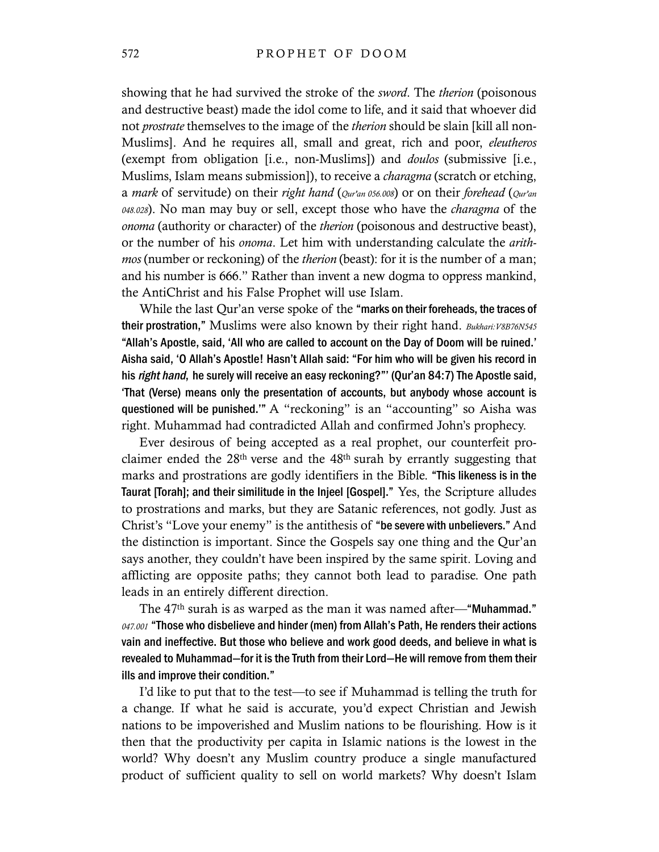showing that he had survived the stroke of the *sword*. The *therion* (poisonous and destructive beast) made the idol come to life, and it said that whoever did not *prostrate* themselves to the image of the *therion* should be slain [kill all non-Muslims]. And he requires all, small and great, rich and poor, *eleutheros* (exempt from obligation [i.e., non-Muslims]) and *doulos* (submissive [i.e., Muslims, Islam means submission]), to receive a *charagma* (scratch or etching, a *mark* of servitude) on their *right hand* (*Qur'an 056.008*) or on their *forehead* (*Qur'an 048.028*). No man may buy or sell, except those who have the *charagma* of the *onoma* (authority or character) of the *therion* (poisonous and destructive beast), or the number of his *onoma*. Let him with understanding calculate the *arithmos* (number or reckoning) of the *therion* (beast): for it is the number of a man; and his number is 666." Rather than invent a new dogma to oppress mankind, the AntiChrist and his False Prophet will use Islam.

While the last Qur'an verse spoke of the "marks on their foreheads, the traces of their prostration," Muslims were also known by their right hand. *Bukhari:V8B76N545* "Allah's Apostle, said, 'All who are called to account on the Day of Doom will be ruined.' Aisha said, 'O Allah's Apostle! Hasn't Allah said: "For him who will be given his record in his right hand, he surely will receive an easy reckoning?"' (Qur'an 84:7) The Apostle said, 'That (Verse) means only the presentation of accounts, but anybody whose account is questioned will be punished.'" A "reckoning" is an "accounting" so Aisha was right. Muhammad had contradicted Allah and confirmed John's prophecy.

Ever desirous of being accepted as a real prophet, our counterfeit proclaimer ended the 28th verse and the 48th surah by errantly suggesting that marks and prostrations are godly identifiers in the Bible. "This likeness is in the Taurat [Torah]; and their similitude in the Injeel [Gospel]." Yes, the Scripture alludes to prostrations and marks, but they are Satanic references, not godly. Just as Christ's "Love your enemy" is the antithesis of "be severe with unbelievers." And the distinction is important. Since the Gospels say one thing and the Qur'an says another, they couldn't have been inspired by the same spirit. Loving and afflicting are opposite paths; they cannot both lead to paradise. One path leads in an entirely different direction.

The 47<sup>th</sup> surah is as warped as the man it was named after—"Muhammad." *047.001* "Those who disbelieve and hinder (men) from Allah's Path, He renders their actions vain and ineffective. But those who believe and work good deeds, and believe in what is revealed to Muhammad—for it is the Truth from their Lord—He will remove from them their ills and improve their condition."

I'd like to put that to the test—to see if Muhammad is telling the truth for a change. If what he said is accurate, you'd expect Christian and Jewish nations to be impoverished and Muslim nations to be flourishing. How is it then that the productivity per capita in Islamic nations is the lowest in the world? Why doesn't any Muslim country produce a single manufactured product of sufficient quality to sell on world markets? Why doesn't Islam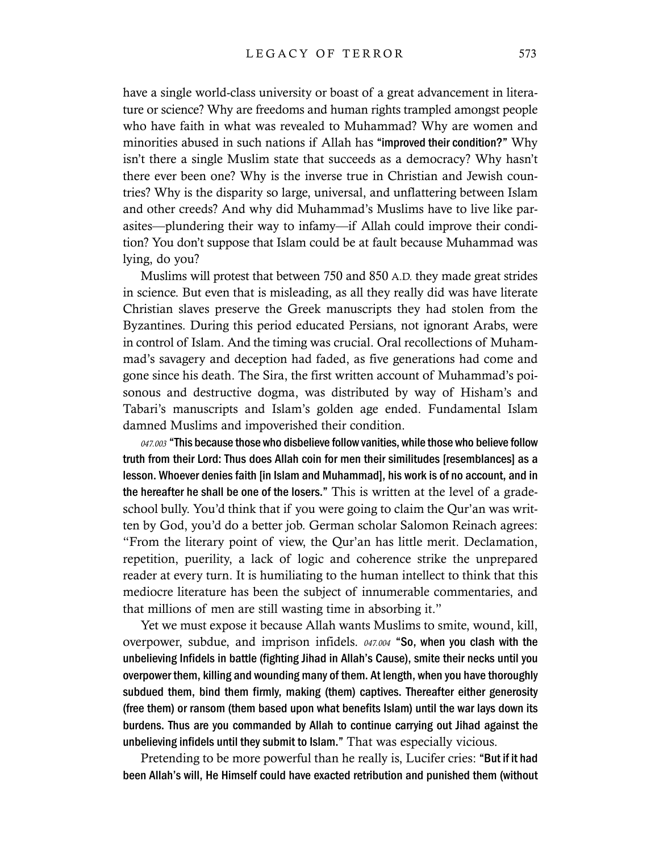have a single world-class university or boast of a great advancement in literature or science? Why are freedoms and human rights trampled amongst people who have faith in what was revealed to Muhammad? Why are women and minorities abused in such nations if Allah has "improved their condition?" Why isn't there a single Muslim state that succeeds as a democracy? Why hasn't there ever been one? Why is the inverse true in Christian and Jewish countries? Why is the disparity so large, universal, and unflattering between Islam and other creeds? And why did Muhammad's Muslims have to live like parasites—plundering their way to infamy—if Allah could improve their condition? You don't suppose that Islam could be at fault because Muhammad was lying, do you?

Muslims will protest that between 750 and 850 A.D. they made great strides in science. But even that is misleading, as all they really did was have literate Christian slaves preserve the Greek manuscripts they had stolen from the Byzantines. During this period educated Persians, not ignorant Arabs, were in control of Islam. And the timing was crucial. Oral recollections of Muhammad's savagery and deception had faded, as five generations had come and gone since his death. The Sira, the first written account of Muhammad's poisonous and destructive dogma, was distributed by way of Hisham's and Tabari's manuscripts and Islam's golden age ended. Fundamental Islam damned Muslims and impoverished their condition.

*047.003* "This because those who disbelieve follow vanities, while those who believe follow truth from their Lord: Thus does Allah coin for men their similitudes [resemblances] as a lesson. Whoever denies faith [in Islam and Muhammad], his work is of no account, and in the hereafter he shall be one of the losers." This is written at the level of a gradeschool bully. You'd think that if you were going to claim the Qur'an was written by God, you'd do a better job. German scholar Salomon Reinach agrees: "From the literary point of view, the Qur'an has little merit. Declamation, repetition, puerility, a lack of logic and coherence strike the unprepared reader at every turn. It is humiliating to the human intellect to think that this mediocre literature has been the subject of innumerable commentaries, and that millions of men are still wasting time in absorbing it."

Yet we must expose it because Allah wants Muslims to smite, wound, kill, overpower, subdue, and imprison infidels. *047.004* "So, when you clash with the unbelieving Infidels in battle (fighting Jihad in Allah's Cause), smite their necks until you overpower them, killing and wounding many of them. At length, when you have thoroughly subdued them, bind them firmly, making (them) captives. Thereafter either generosity (free them) or ransom (them based upon what benefits Islam) until the war lays down its burdens. Thus are you commanded by Allah to continue carrying out Jihad against the unbelieving infidels until they submit to Islam." That was especially vicious.

Pretending to be more powerful than he really is, Lucifer cries: "But if it had been Allah's will, He Himself could have exacted retribution and punished them (without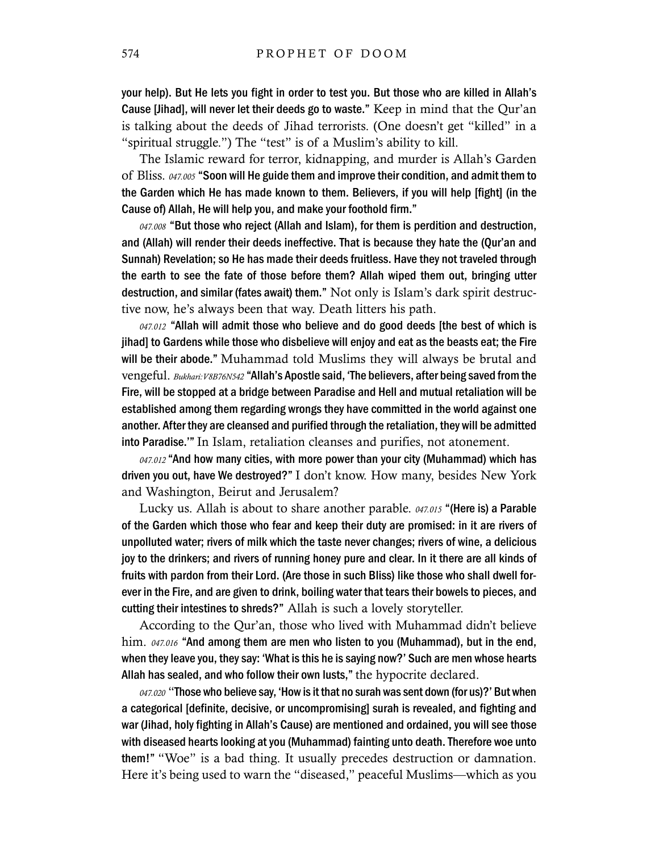your help). But He lets you fight in order to test you. But those who are killed in Allah's Cause [Jihad], will never let their deeds go to waste." Keep in mind that the Qur'an is talking about the deeds of Jihad terrorists. (One doesn't get "killed" in a "spiritual struggle.") The "test" is of a Muslim's ability to kill.

The Islamic reward for terror, kidnapping, and murder is Allah's Garden of Bliss. *047.005* "Soon will He guide them and improve their condition, and admit them to the Garden which He has made known to them. Believers, if you will help [fight] (in the Cause of) Allah, He will help you, and make your foothold firm."

*047.008* "But those who reject (Allah and Islam), for them is perdition and destruction, and (Allah) will render their deeds ineffective. That is because they hate the (Qur'an and Sunnah) Revelation; so He has made their deeds fruitless. Have they not traveled through the earth to see the fate of those before them? Allah wiped them out, bringing utter destruction, and similar (fates await) them." Not only is Islam's dark spirit destructive now, he's always been that way. Death litters his path.

*047.012* "Allah will admit those who believe and do good deeds [the best of which is jihad] to Gardens while those who disbelieve will enjoy and eat as the beasts eat; the Fire will be their abode." Muhammad told Muslims they will always be brutal and vengeful. *Bukhari:V8B76N542* "Allah's Apostle said, 'The believers, after being saved from the Fire, will be stopped at a bridge between Paradise and Hell and mutual retaliation will be established among them regarding wrongs they have committed in the world against one another. After they are cleansed and purified through the retaliation, they will be admitted into Paradise.'" In Islam, retaliation cleanses and purifies, not atonement.

*047.012* "And how many cities, with more power than your city (Muhammad) which has driven you out, have We destroyed?" I don't know. How many, besides New York and Washington, Beirut and Jerusalem?

Lucky us. Allah is about to share another parable. *047.015* "(Here is) a Parable of the Garden which those who fear and keep their duty are promised: in it are rivers of unpolluted water; rivers of milk which the taste never changes; rivers of wine, a delicious joy to the drinkers; and rivers of running honey pure and clear. In it there are all kinds of fruits with pardon from their Lord. (Are those in such Bliss) like those who shall dwell forever in the Fire, and are given to drink, boiling water that tears their bowels to pieces, and cutting their intestines to shreds?" Allah is such a lovely storyteller.

According to the Qur'an, those who lived with Muhammad didn't believe him. *047.016* "And among them are men who listen to you (Muhammad), but in the end, when they leave you, they say: 'What is this he is saying now?' Such are men whose hearts Allah has sealed, and who follow their own lusts," the hypocrite declared.

047.020 "Those who believe say, 'How is it that no surah was sent down (for us)?' But when a categorical [definite, decisive, or uncompromising] surah is revealed, and fighting and war (Jihad, holy fighting in Allah's Cause) are mentioned and ordained, you will see those with diseased hearts looking at you (Muhammad) fainting unto death. Therefore woe unto them!" "Woe" is a bad thing. It usually precedes destruction or damnation. Here it's being used to warn the "diseased," peaceful Muslims—which as you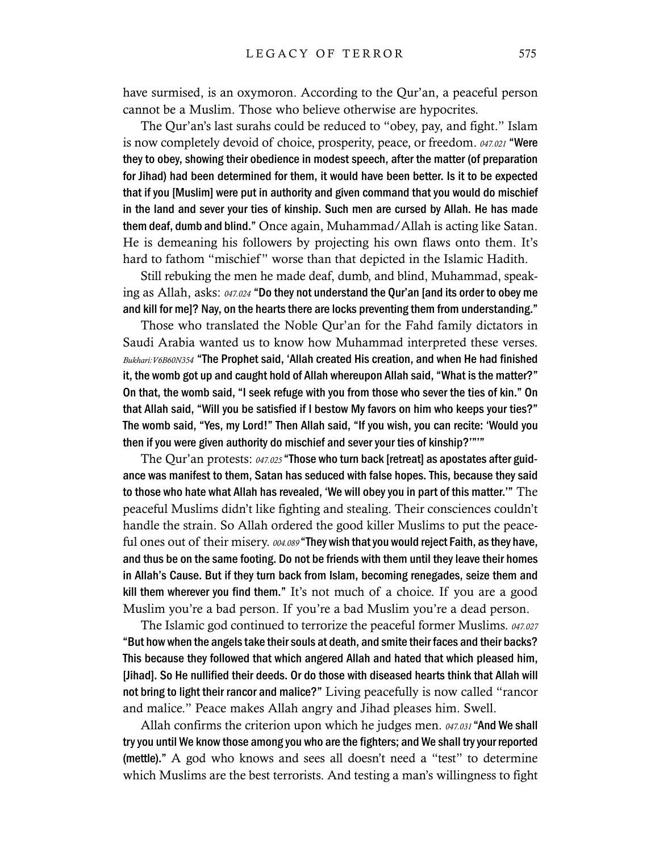have surmised, is an oxymoron. According to the Qur'an, a peaceful person cannot be a Muslim. Those who believe otherwise are hypocrites.

The Qur'an's last surahs could be reduced to "obey, pay, and fight." Islam is now completely devoid of choice, prosperity, peace, or freedom. *047.021* "Were they to obey, showing their obedience in modest speech, after the matter (of preparation for Jihad) had been determined for them, it would have been better. Is it to be expected that if you [Muslim] were put in authority and given command that you would do mischief in the land and sever your ties of kinship. Such men are cursed by Allah. He has made them deaf, dumb and blind." Once again, Muhammad/Allah is acting like Satan. He is demeaning his followers by projecting his own flaws onto them. It's hard to fathom "mischief" worse than that depicted in the Islamic Hadith.

Still rebuking the men he made deaf, dumb, and blind, Muhammad, speaking as Allah, asks: *047.024* "Do they not understand the Qur'an [and its order to obey me and kill for me]? Nay, on the hearts there are locks preventing them from understanding."

Those who translated the Noble Qur'an for the Fahd family dictators in Saudi Arabia wanted us to know how Muhammad interpreted these verses. *Bukhari:V6B60N354* "The Prophet said, 'Allah created His creation, and when He had finished it, the womb got up and caught hold of Allah whereupon Allah said, "What is the matter?" On that, the womb said, "I seek refuge with you from those who sever the ties of kin." On that Allah said, "Will you be satisfied if I bestow My favors on him who keeps your ties?" The womb said, "Yes, my Lord!" Then Allah said, "If you wish, you can recite: 'Would you then if you were given authority do mischief and sever your ties of kinship?'"'"

The Qur'an protests: *047.025* "Those who turn back [retreat] as apostates after guidance was manifest to them, Satan has seduced with false hopes. This, because they said to those who hate what Allah has revealed, 'We will obey you in part of this matter.'" The peaceful Muslims didn't like fighting and stealing. Their consciences couldn't handle the strain. So Allah ordered the good killer Muslims to put the peaceful ones out of their misery. *004.089* "They wish that you would reject Faith, as they have, and thus be on the same footing. Do not be friends with them until they leave their homes in Allah's Cause. But if they turn back from Islam, becoming renegades, seize them and kill them wherever you find them." It's not much of a choice. If you are a good Muslim you're a bad person. If you're a bad Muslim you're a dead person.

The Islamic god continued to terrorize the peaceful former Muslims. *047.027* "But how when the angels take their souls at death, and smite their faces and their backs? This because they followed that which angered Allah and hated that which pleased him, [Jihad]. So He nullified their deeds. Or do those with diseased hearts think that Allah will not bring to light their rancor and malice?" Living peacefully is now called "rancor and malice." Peace makes Allah angry and Jihad pleases him. Swell.

Allah confirms the criterion upon which he judges men. *047.031* "And We shall try you until We know those among you who are the fighters; and We shall try your reported (mettle)." A god who knows and sees all doesn't need a "test" to determine which Muslims are the best terrorists. And testing a man's willingness to fight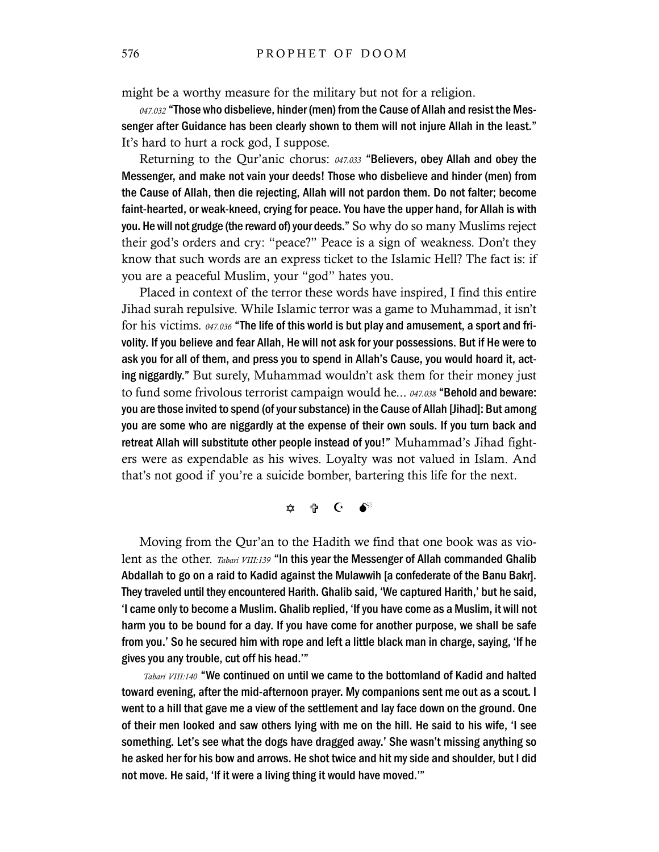might be a worthy measure for the military but not for a religion.

*047.032* "Those who disbelieve, hinder (men) from the Cause of Allah and resist the Messenger after Guidance has been clearly shown to them will not injure Allah in the least." It's hard to hurt a rock god, I suppose.

Returning to the Qur'anic chorus: *047.033* "Believers, obey Allah and obey the Messenger, and make not vain your deeds! Those who disbelieve and hinder (men) from the Cause of Allah, then die rejecting, Allah will not pardon them. Do not falter; become faint-hearted, or weak-kneed, crying for peace. You have the upper hand, for Allah is with you. He will not grudge (the reward of) your deeds." So why do so many Muslims reject their god's orders and cry: "peace?" Peace is a sign of weakness. Don't they know that such words are an express ticket to the Islamic Hell? The fact is: if you are a peaceful Muslim, your "god" hates you.

Placed in context of the terror these words have inspired, I find this entire Jihad surah repulsive. While Islamic terror was a game to Muhammad, it isn't for his victims. *047.036* "The life of this world is but play and amusement, a sport and frivolity. If you believe and fear Allah, He will not ask for your possessions. But if He were to ask you for all of them, and press you to spend in Allah's Cause, you would hoard it, acting niggardly." But surely, Muhammad wouldn't ask them for their money just to fund some frivolous terrorist campaign would he... *047.038* "Behold and beware: you are those invited to spend (of your substance) in the Cause of Allah [Jihad]: But among you are some who are niggardly at the expense of their own souls. If you turn back and retreat Allah will substitute other people instead of you!" Muhammad's Jihad fighters were as expendable as his wives. Loyalty was not valued in Islam. And that's not good if you're a suicide bomber, bartering this life for the next.

 $\uplus$   $\uplus$   $\uplus$   $\uplus$   $\uplus$ 

Moving from the Qur'an to the Hadith we find that one book was as violent as the other. *Tabari VIII:139* "In this year the Messenger of Allah commanded Ghalib Abdallah to go on a raid to Kadid against the Mulawwih [a confederate of the Banu Bakr]. They traveled until they encountered Harith. Ghalib said, 'We captured Harith,' but he said, 'I came only to become a Muslim. Ghalib replied, 'If you have come as a Muslim, it will not harm you to be bound for a day. If you have come for another purpose, we shall be safe from you.' So he secured him with rope and left a little black man in charge, saying, 'If he gives you any trouble, cut off his head.'"

*Tabari VIII:140* "We continued on until we came to the bottomland of Kadid and halted toward evening, after the mid-afternoon prayer. My companions sent me out as a scout. I went to a hill that gave me a view of the settlement and lay face down on the ground. One of their men looked and saw others lying with me on the hill. He said to his wife, 'I see something. Let's see what the dogs have dragged away.' She wasn't missing anything so he asked her for his bow and arrows. He shot twice and hit my side and shoulder, but I did not move. He said, 'If it were a living thing it would have moved.'"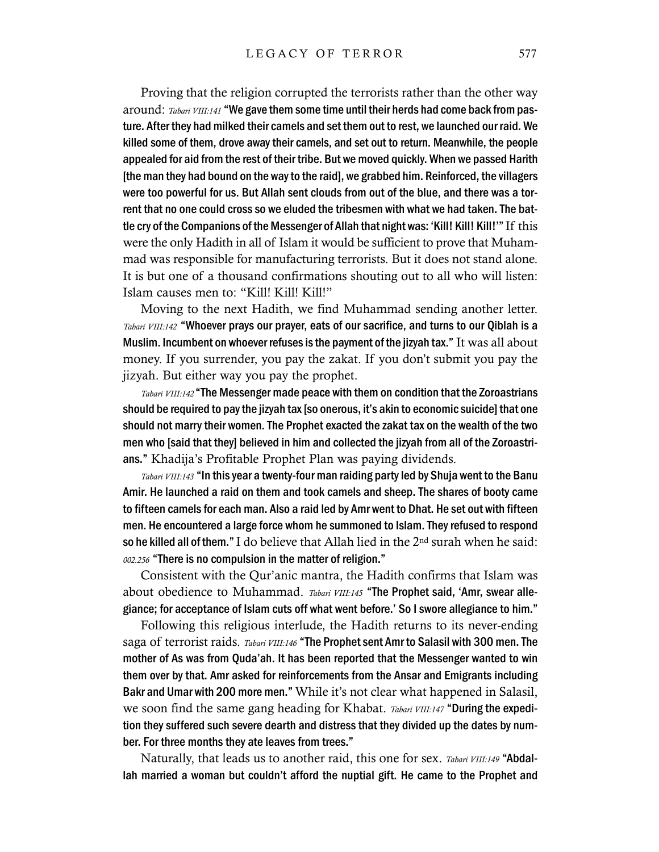Proving that the religion corrupted the terrorists rather than the other way around: *Tabari VIII:141* "We gave them some time until their herds had come back from pasture. After they had milked their camels and set them out to rest, we launched our raid. We killed some of them, drove away their camels, and set out to return. Meanwhile, the people appealed for aid from the rest of their tribe. But we moved quickly. When we passed Harith [the man they had bound on the way to the raid], we grabbed him. Reinforced, the villagers were too powerful for us. But Allah sent clouds from out of the blue, and there was a torrent that no one could cross so we eluded the tribesmen with what we had taken. The battle cry of the Companions of the Messenger of Allah that night was: 'Kill! Kill! Kill!'" If this were the only Hadith in all of Islam it would be sufficient to prove that Muhammad was responsible for manufacturing terrorists. But it does not stand alone. It is but one of a thousand confirmations shouting out to all who will listen: Islam causes men to: "Kill! Kill! Kill!"

Moving to the next Hadith, we find Muhammad sending another letter. *Tabari VIII:142* "Whoever prays our prayer, eats of our sacrifice, and turns to our Qiblah is a Muslim. Incumbent on whoever refuses is the payment of the jizyah tax." It was all about money. If you surrender, you pay the zakat. If you don't submit you pay the jizyah. But either way you pay the prophet.

*Tabari VIII:142* "The Messenger made peace with them on condition that the Zoroastrians should be required to pay the jizyah tax [so onerous, it's akin to economic suicide] that one should not marry their women. The Prophet exacted the zakat tax on the wealth of the two men who [said that they] believed in him and collected the jizyah from all of the Zoroastrians." Khadija's Profitable Prophet Plan was paying dividends.

*Tabari VIII:143* "In this year a twenty-four man raiding party led by Shuja went to the Banu Amir. He launched a raid on them and took camels and sheep. The shares of booty came to fifteen camels for each man. Also a raid led by Amr went to Dhat. He set out with fifteen men. He encountered a large force whom he summoned to Islam. They refused to respond so he killed all of them." I do believe that Allah lied in the  $2<sup>nd</sup>$  surah when he said: *002.256* "There is no compulsion in the matter of religion."

Consistent with the Qur'anic mantra, the Hadith confirms that Islam was about obedience to Muhammad. *Tabari VIII:145* "The Prophet said, 'Amr, swear allegiance; for acceptance of Islam cuts off what went before.' So I swore allegiance to him."

Following this religious interlude, the Hadith returns to its never-ending saga of terrorist raids. *Tabari VIII:146* "The Prophet sent Amr to Salasil with 300 men. The mother of As was from Quda'ah. It has been reported that the Messenger wanted to win them over by that. Amr asked for reinforcements from the Ansar and Emigrants including Bakr and Umar with 200 more men." While it's not clear what happened in Salasil, we soon find the same gang heading for Khabat. *Tabari VIII:147* "During the expedition they suffered such severe dearth and distress that they divided up the dates by number. For three months they ate leaves from trees."

Naturally, that leads us to another raid, this one for sex. *Tabari VIII:149* "Abdallah married a woman but couldn't afford the nuptial gift. He came to the Prophet and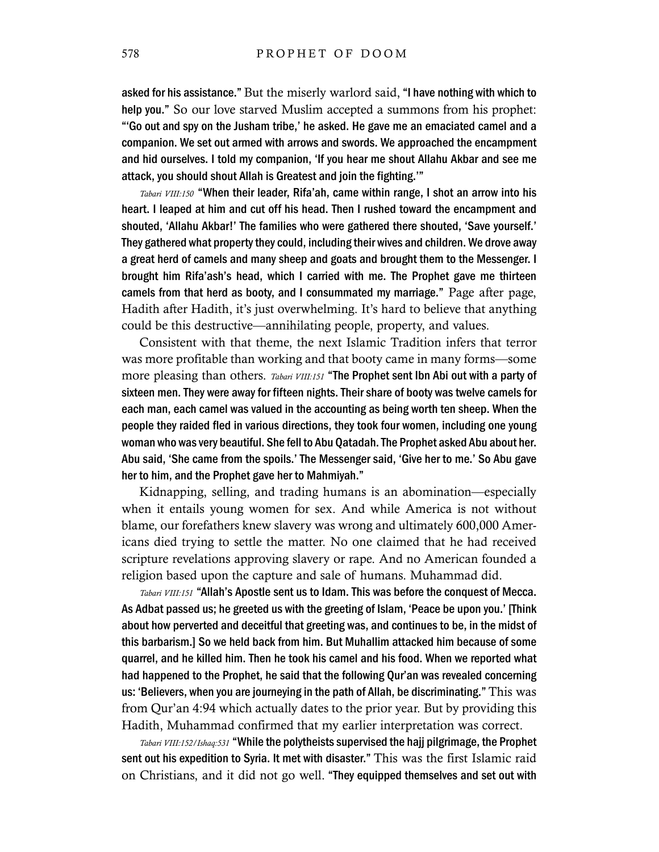asked for his assistance." But the miserly warlord said, "I have nothing with which to help you." So our love starved Muslim accepted a summons from his prophet:

"'Go out and spy on the Jusham tribe,' he asked. He gave me an emaciated camel and a companion. We set out armed with arrows and swords. We approached the encampment and hid ourselves. I told my companion, 'If you hear me shout Allahu Akbar and see me attack, you should shout Allah is Greatest and join the fighting.'"

*Tabari VIII:150* "When their leader, Rifa'ah, came within range, I shot an arrow into his heart. I leaped at him and cut off his head. Then I rushed toward the encampment and shouted, 'Allahu Akbar!' The families who were gathered there shouted, 'Save yourself.' They gathered what property they could, including their wives and children. We drove away a great herd of camels and many sheep and goats and brought them to the Messenger. I brought him Rifa'ash's head, which I carried with me. The Prophet gave me thirteen camels from that herd as booty, and I consummated my marriage." Page after page, Hadith after Hadith, it's just overwhelming. It's hard to believe that anything could be this destructive—annihilating people, property, and values.

Consistent with that theme, the next Islamic Tradition infers that terror was more profitable than working and that booty came in many forms—some more pleasing than others. *Tabari VIII:151* "The Prophet sent Ibn Abi out with a party of sixteen men. They were away for fifteen nights. Their share of booty was twelve camels for each man, each camel was valued in the accounting as being worth ten sheep. When the people they raided fled in various directions, they took four women, including one young woman who was very beautiful. She fell to Abu Qatadah. The Prophet asked Abu about her. Abu said, 'She came from the spoils.' The Messenger said, 'Give her to me.' So Abu gave her to him, and the Prophet gave her to Mahmiyah."

Kidnapping, selling, and trading humans is an abomination—especially when it entails young women for sex. And while America is not without blame, our forefathers knew slavery was wrong and ultimately 600,000 Americans died trying to settle the matter. No one claimed that he had received scripture revelations approving slavery or rape. And no American founded a religion based upon the capture and sale of humans. Muhammad did.

*Tabari VIII:151* "Allah's Apostle sent us to Idam. This was before the conquest of Mecca. As Adbat passed us; he greeted us with the greeting of Islam, 'Peace be upon you.' [Think about how perverted and deceitful that greeting was, and continues to be, in the midst of this barbarism.] So we held back from him. But Muhallim attacked him because of some quarrel, and he killed him. Then he took his camel and his food. When we reported what had happened to the Prophet, he said that the following Qur'an was revealed concerning us: 'Believers, when you are journeying in the path of Allah, be discriminating." This was from Qur'an 4:94 which actually dates to the prior year. But by providing this Hadith, Muhammad confirmed that my earlier interpretation was correct.

*Tabari VIII:152/Ishaq:531* "While the polytheists supervised the hajj pilgrimage, the Prophet sent out his expedition to Syria. It met with disaster." This was the first Islamic raid on Christians, and it did not go well. "They equipped themselves and set out with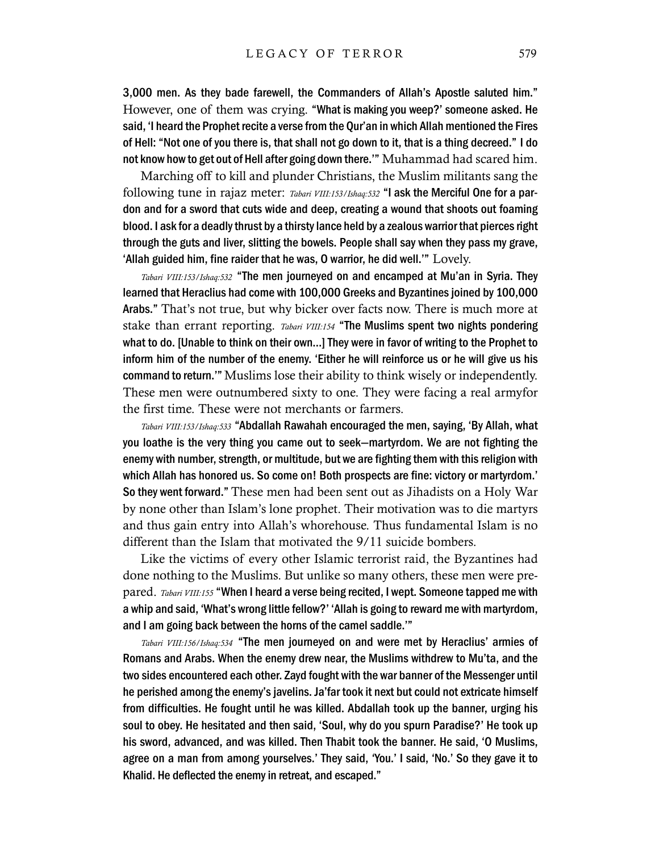3,000 men. As they bade farewell, the Commanders of Allah's Apostle saluted him." However, one of them was crying. "What is making you weep?' someone asked. He said, 'I heard the Prophet recite a verse from the Qur'an in which Allah mentioned the Fires of Hell: "Not one of you there is, that shall not go down to it, that is a thing decreed." I do not know how to get out of Hell after going down there.'" Muhammad had scared him.

Marching off to kill and plunder Christians, the Muslim militants sang the following tune in rajaz meter: *Tabari VIII:153/Ishaq:532* "I ask the Merciful One for a pardon and for a sword that cuts wide and deep, creating a wound that shoots out foaming blood. I ask for a deadly thrust by a thirsty lance held by a zealous warrior that pierces right through the guts and liver, slitting the bowels. People shall say when they pass my grave, 'Allah guided him, fine raider that he was, O warrior, he did well.'" Lovely.

*Tabari VIII:153/Ishaq:532* "The men journeyed on and encamped at Mu'an in Syria. They learned that Heraclius had come with 100,000 Greeks and Byzantines joined by 100,000 Arabs." That's not true, but why bicker over facts now. There is much more at stake than errant reporting. *Tabari VIII:154* "The Muslims spent two nights pondering what to do. [Unable to think on their own…] They were in favor of writing to the Prophet to inform him of the number of the enemy. 'Either he will reinforce us or he will give us his command to return.'" Muslims lose their ability to think wisely or independently. These men were outnumbered sixty to one. They were facing a real armyfor the first time. These were not merchants or farmers.

*Tabari VIII:153/Ishaq:533* "Abdallah Rawahah encouraged the men, saying, 'By Allah, what you loathe is the very thing you came out to seek—martyrdom. We are not fighting the enemy with number, strength, or multitude, but we are fighting them with this religion with which Allah has honored us. So come on! Both prospects are fine: victory or martyrdom.' So they went forward." These men had been sent out as Jihadists on a Holy War by none other than Islam's lone prophet. Their motivation was to die martyrs and thus gain entry into Allah's whorehouse. Thus fundamental Islam is no different than the Islam that motivated the 9/11 suicide bombers.

Like the victims of every other Islamic terrorist raid, the Byzantines had done nothing to the Muslims. But unlike so many others, these men were prepared. *Tabari VIII:155* "When I heard a verse being recited, I wept. Someone tapped me with a whip and said, 'What's wrong little fellow?' 'Allah is going to reward me with martyrdom, and I am going back between the horns of the camel saddle.'"

*Tabari VIII:156/Ishaq:534* "The men journeyed on and were met by Heraclius' armies of Romans and Arabs. When the enemy drew near, the Muslims withdrew to Mu'ta, and the two sides encountered each other. Zayd fought with the war banner of the Messenger until he perished among the enemy's javelins. Ja'far took it next but could not extricate himself from difficulties. He fought until he was killed. Abdallah took up the banner, urging his soul to obey. He hesitated and then said, 'Soul, why do you spurn Paradise?' He took up his sword, advanced, and was killed. Then Thabit took the banner. He said, 'O Muslims, agree on a man from among yourselves.' They said, 'You.' I said, 'No.' So they gave it to Khalid. He deflected the enemy in retreat, and escaped."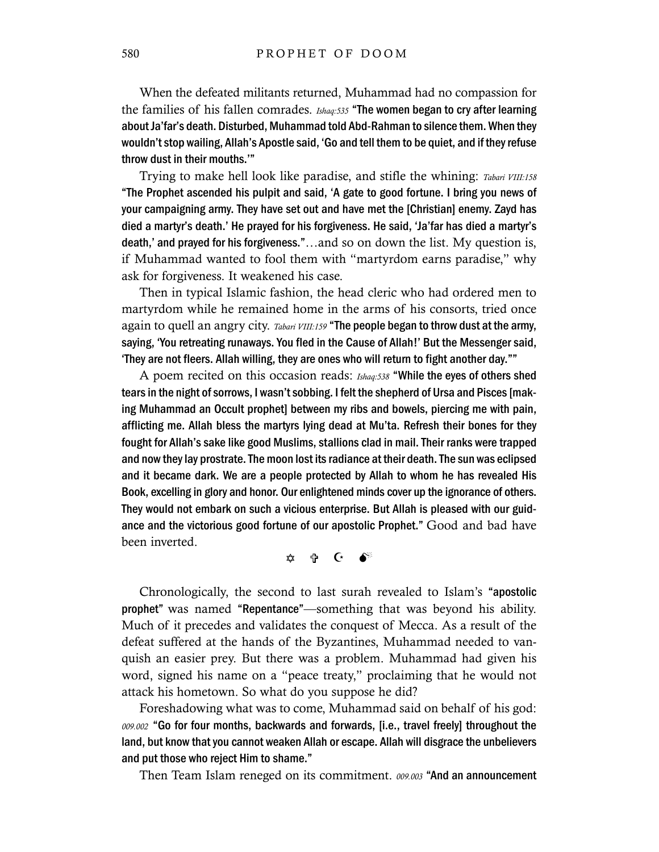When the defeated militants returned, Muhammad had no compassion for the families of his fallen comrades. *Ishaq:535* "The women began to cry after learning about Ja'far's death. Disturbed, Muhammad told Abd-Rahman to silence them. When they wouldn't stop wailing, Allah's Apostle said, 'Go and tell them to be quiet, and if they refuse throw dust in their mouths.'"

Trying to make hell look like paradise, and stifle the whining: *Tabari VIII:158* "The Prophet ascended his pulpit and said, 'A gate to good fortune. I bring you news of your campaigning army. They have set out and have met the [Christian] enemy. Zayd has died a martyr's death.' He prayed for his forgiveness. He said, 'Ja'far has died a martyr's death,' and prayed for his forgiveness."…and so on down the list. My question is, if Muhammad wanted to fool them with "martyrdom earns paradise," why ask for forgiveness. It weakened his case.

Then in typical Islamic fashion, the head cleric who had ordered men to martyrdom while he remained home in the arms of his consorts, tried once again to quell an angry city. *Tabari VIII:159* "The people began to throw dust at the army, saying, 'You retreating runaways. You fled in the Cause of Allah!' But the Messenger said, 'They are not fleers. Allah willing, they are ones who will return to fight another day.""

A poem recited on this occasion reads: *Ishaq:538* "While the eyes of others shed tears in the night of sorrows, I wasn't sobbing. I felt the shepherd of Ursa and Pisces [making Muhammad an Occult prophet] between my ribs and bowels, piercing me with pain, afflicting me. Allah bless the martyrs lying dead at Mu'ta. Refresh their bones for they fought for Allah's sake like good Muslims, stallions clad in mail. Their ranks were trapped and now they lay prostrate. The moon lost its radiance at their death. The sun was eclipsed and it became dark. We are a people protected by Allah to whom he has revealed His Book, excelling in glory and honor. Our enlightened minds cover up the ignorance of others. They would not embark on such a vicious enterprise. But Allah is pleased with our guidance and the victorious good fortune of our apostolic Prophet." Good and bad have been inverted.

## $\hat{\mathbf{x}}$   $\mathbf{h}$   $\mathbf{G}$   $\mathbf{S}^*$

Chronologically, the second to last surah revealed to Islam's "apostolic prophet" was named "Repentance"—something that was beyond his ability. Much of it precedes and validates the conquest of Mecca. As a result of the defeat suffered at the hands of the Byzantines, Muhammad needed to vanquish an easier prey. But there was a problem. Muhammad had given his word, signed his name on a "peace treaty," proclaiming that he would not attack his hometown. So what do you suppose he did?

Foreshadowing what was to come, Muhammad said on behalf of his god: *009.002* "Go for four months, backwards and forwards, [i.e., travel freely] throughout the land, but know that you cannot weaken Allah or escape. Allah will disgrace the unbelievers and put those who reject Him to shame."

Then Team Islam reneged on its commitment. *009.003* "And an announcement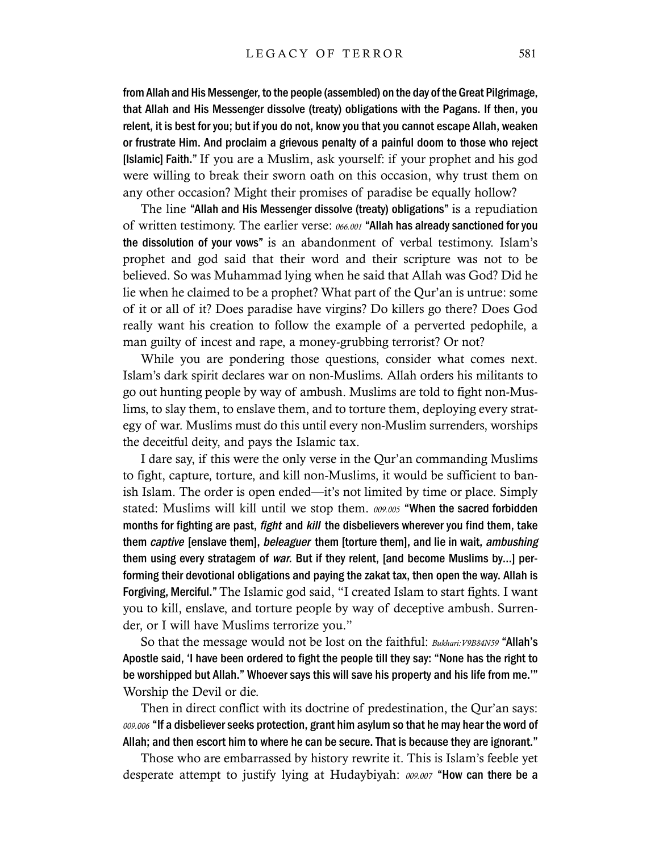from Allah and His Messenger, to the people (assembled) on the day of the Great Pilgrimage, that Allah and His Messenger dissolve (treaty) obligations with the Pagans. If then, you relent, it is best for you; but if you do not, know you that you cannot escape Allah, weaken or frustrate Him. And proclaim a grievous penalty of a painful doom to those who reject [Islamic] Faith." If you are a Muslim, ask yourself: if your prophet and his god were willing to break their sworn oath on this occasion, why trust them on any other occasion? Might their promises of paradise be equally hollow?

The line "Allah and His Messenger dissolve (treaty) obligations" is a repudiation of written testimony. The earlier verse: *066.001* "Allah has already sanctioned for you the dissolution of your vows" is an abandonment of verbal testimony. Islam's prophet and god said that their word and their scripture was not to be believed. So was Muhammad lying when he said that Allah was God? Did he lie when he claimed to be a prophet? What part of the Qur'an is untrue: some of it or all of it? Does paradise have virgins? Do killers go there? Does God really want his creation to follow the example of a perverted pedophile, a man guilty of incest and rape, a money-grubbing terrorist? Or not?

While you are pondering those questions, consider what comes next. Islam's dark spirit declares war on non-Muslims. Allah orders his militants to go out hunting people by way of ambush. Muslims are told to fight non-Muslims, to slay them, to enslave them, and to torture them, deploying every strategy of war. Muslims must do this until every non-Muslim surrenders, worships the deceitful deity, and pays the Islamic tax.

I dare say, if this were the only verse in the Qur'an commanding Muslims to fight, capture, torture, and kill non-Muslims, it would be sufficient to banish Islam. The order is open ended—it's not limited by time or place. Simply stated: Muslims will kill until we stop them. *009.005* "When the sacred forbidden months for fighting are past, fight and kill the disbelievers wherever you find them, take them captive [enslave them], beleaguer them [torture them], and lie in wait, ambushing them using every stratagem of war. But if they relent, [and become Muslims by...] performing their devotional obligations and paying the zakat tax, then open the way. Allah is Forgiving, Merciful." The Islamic god said, "I created Islam to start fights. I want you to kill, enslave, and torture people by way of deceptive ambush. Surrender, or I will have Muslims terrorize you."

So that the message would not be lost on the faithful: *Bukhari:V9B84N59* "Allah's Apostle said, 'I have been ordered to fight the people till they say: "None has the right to be worshipped but Allah." Whoever says this will save his property and his life from me.'" Worship the Devil or die.

Then in direct conflict with its doctrine of predestination, the Qur'an says: *009.006* "If a disbeliever seeks protection, grant him asylum so that he may hear the word of Allah; and then escort him to where he can be secure. That is because they are ignorant."

Those who are embarrassed by history rewrite it. This is Islam's feeble yet desperate attempt to justify lying at Hudaybiyah: *009.007* "How can there be a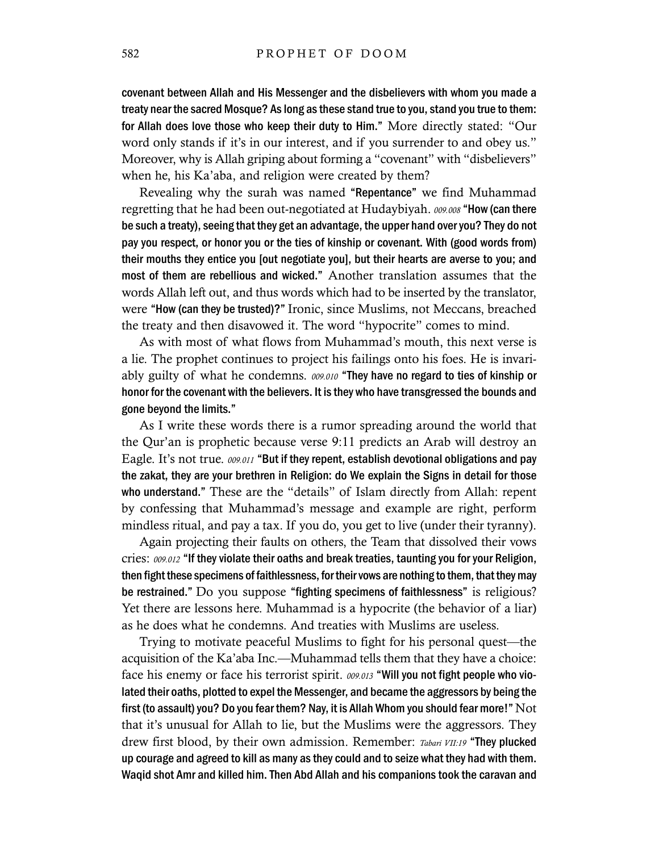covenant between Allah and His Messenger and the disbelievers with whom you made a treaty near the sacred Mosque? As long as these stand true to you, stand you true to them: for Allah does love those who keep their duty to Him." More directly stated: "Our word only stands if it's in our interest, and if you surrender to and obey us." Moreover, why is Allah griping about forming a "covenant" with "disbelievers" when he, his Ka'aba, and religion were created by them?

Revealing why the surah was named "Repentance" we find Muhammad regretting that he had been out-negotiated at Hudaybiyah. *009.008* "How (can there be such a treaty), seeing that they get an advantage, the upper hand over you? They do not pay you respect, or honor you or the ties of kinship or covenant. With (good words from) their mouths they entice you [out negotiate you], but their hearts are averse to you; and most of them are rebellious and wicked." Another translation assumes that the words Allah left out, and thus words which had to be inserted by the translator, were "How (can they be trusted)?" Ironic, since Muslims, not Meccans, breached the treaty and then disavowed it. The word "hypocrite" comes to mind.

As with most of what flows from Muhammad's mouth, this next verse is a lie. The prophet continues to project his failings onto his foes. He is invariably guilty of what he condemns. *009.010* "They have no regard to ties of kinship or honor for the covenant with the believers. It is they who have transgressed the bounds and gone beyond the limits."

As I write these words there is a rumor spreading around the world that the Qur'an is prophetic because verse 9:11 predicts an Arab will destroy an Eagle. It's not true. *009.011* "But if they repent, establish devotional obligations and pay the zakat, they are your brethren in Religion: do We explain the Signs in detail for those who understand." These are the "details" of Islam directly from Allah: repent by confessing that Muhammad's message and example are right, perform mindless ritual, and pay a tax. If you do, you get to live (under their tyranny).

Again projecting their faults on others, the Team that dissolved their vows cries: *009.012* "If they violate their oaths and break treaties, taunting you for your Religion, then fight these specimens of faithlessness, for their vows are nothing to them, that they may be restrained." Do you suppose "fighting specimens of faithlessness" is religious? Yet there are lessons here. Muhammad is a hypocrite (the behavior of a liar) as he does what he condemns. And treaties with Muslims are useless.

Trying to motivate peaceful Muslims to fight for his personal quest—the acquisition of the Ka'aba Inc.—Muhammad tells them that they have a choice: face his enemy or face his terrorist spirit. *009.013* "Will you not fight people who violated their oaths, plotted to expel the Messenger, and became the aggressors by being the first (to assault) you? Do you fear them? Nay, it is Allah Whom you should fear more!" Not that it's unusual for Allah to lie, but the Muslims were the aggressors. They drew first blood, by their own admission. Remember: *Tabari VII:19* "They plucked up courage and agreed to kill as many as they could and to seize what they had with them. Waqid shot Amr and killed him. Then Abd Allah and his companions took the caravan and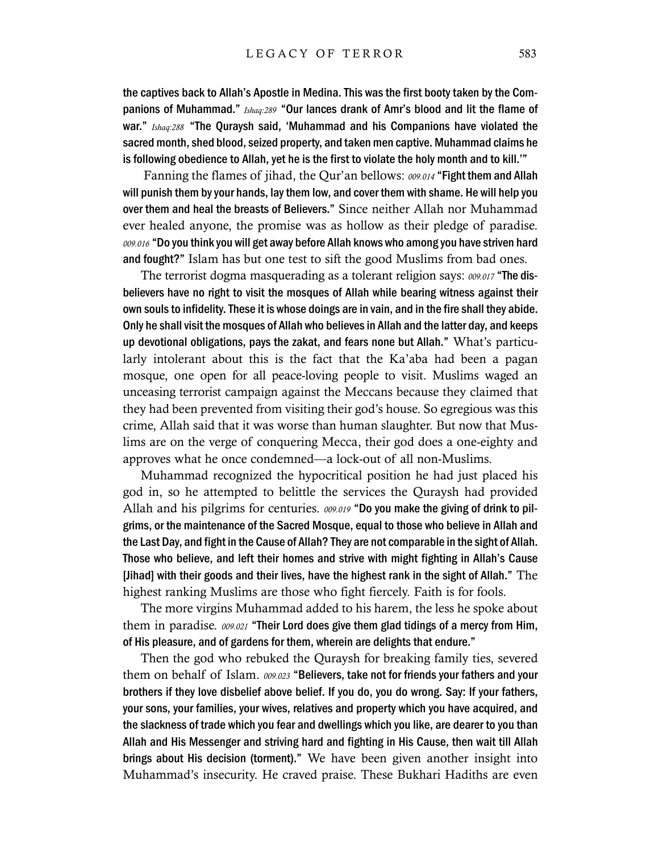the captives back to Allah's Apostle in Medina. This was the first booty taken by the Companions of Muhammad." *Ishaq:289* "Our lances drank of Amr's blood and lit the flame of war." *Ishaq:288* "The Quraysh said, 'Muhammad and his Companions have violated the sacred month, shed blood, seized property, and taken men captive. Muhammad claims he is following obedience to Allah, yet he is the first to violate the holy month and to kill.'"

Fanning the flames of jihad, the Qur'an bellows: *009.014* "Fight them and Allah will punish them by your hands, lay them low, and cover them with shame. He will help you over them and heal the breasts of Believers." Since neither Allah nor Muhammad ever healed anyone, the promise was as hollow as their pledge of paradise. *009.016* "Do you think you will get away before Allah knows who among you have striven hard and fought?" Islam has but one test to sift the good Muslims from bad ones.

The terrorist dogma masquerading as a tolerant religion says: *009.017* "The disbelievers have no right to visit the mosques of Allah while bearing witness against their own souls to infidelity. These it is whose doings are in vain, and in the fire shall they abide. Only he shall visit the mosques of Allah who believes in Allah and the latter day, and keeps up devotional obligations, pays the zakat, and fears none but Allah." What's particularly intolerant about this is the fact that the Ka'aba had been a pagan mosque, one open for all peace-loving people to visit. Muslims waged an unceasing terrorist campaign against the Meccans because they claimed that they had been prevented from visiting their god's house. So egregious was this crime, Allah said that it was worse than human slaughter. But now that Muslims are on the verge of conquering Mecca, their god does a one-eighty and approves what he once condemned—a lock-out of all non-Muslims.

Muhammad recognized the hypocritical position he had just placed his god in, so he attempted to belittle the services the Quraysh had provided Allah and his pilgrims for centuries. *009.019* "Do you make the giving of drink to pilgrims, or the maintenance of the Sacred Mosque, equal to those who believe in Allah and the Last Day, and fight in the Cause of Allah? They are not comparable in the sight of Allah. Those who believe, and left their homes and strive with might fighting in Allah's Cause [Jihad] with their goods and their lives, have the highest rank in the sight of Allah." The highest ranking Muslims are those who fight fiercely. Faith is for fools.

The more virgins Muhammad added to his harem, the less he spoke about them in paradise. *009.021* "Their Lord does give them glad tidings of a mercy from Him, of His pleasure, and of gardens for them, wherein are delights that endure."

Then the god who rebuked the Quraysh for breaking family ties, severed them on behalf of Islam. *009.023* "Believers, take not for friends your fathers and your brothers if they love disbelief above belief. If you do, you do wrong. Say: If your fathers, your sons, your families, your wives, relatives and property which you have acquired, and the slackness of trade which you fear and dwellings which you like, are dearer to you than Allah and His Messenger and striving hard and fighting in His Cause, then wait till Allah brings about His decision (torment)." We have been given another insight into Muhammad's insecurity. He craved praise. These Bukhari Hadiths are even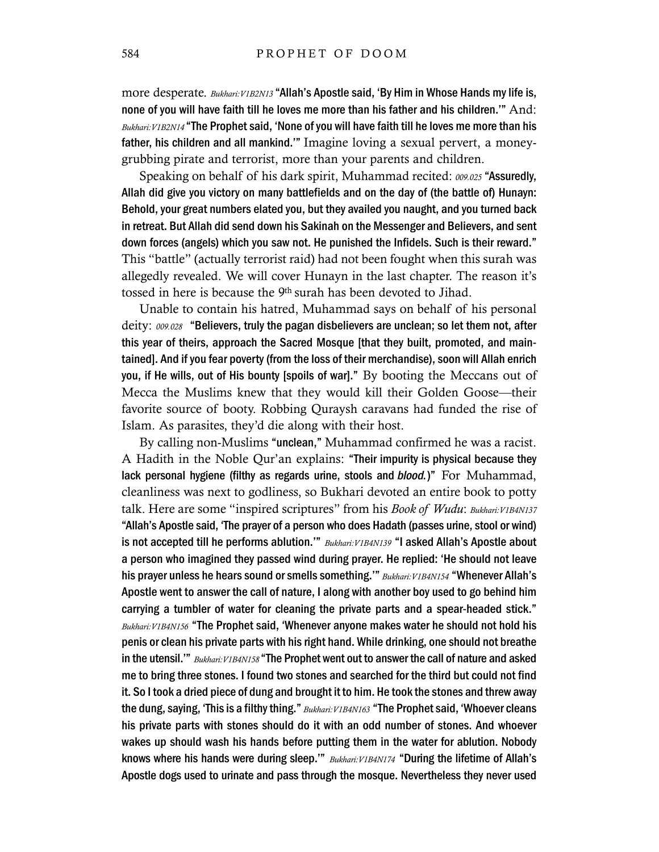more desperate. *Bukhari:V1B2N13* "Allah's Apostle said, 'By Him in Whose Hands my life is, none of you will have faith till he loves me more than his father and his children.'" And: *Bukhari:V1B2N14* "The Prophet said, 'None of you will have faith till he loves me more than his father, his children and all mankind.'" Imagine loving a sexual pervert, a moneygrubbing pirate and terrorist, more than your parents and children.

Speaking on behalf of his dark spirit, Muhammad recited: *009.025* "Assuredly, Allah did give you victory on many battlefields and on the day of (the battle of) Hunayn: Behold, your great numbers elated you, but they availed you naught, and you turned back in retreat. But Allah did send down his Sakinah on the Messenger and Believers, and sent down forces (angels) which you saw not. He punished the Infidels. Such is their reward." This "battle" (actually terrorist raid) had not been fought when this surah was allegedly revealed. We will cover Hunayn in the last chapter. The reason it's tossed in here is because the 9th surah has been devoted to Jihad.

Unable to contain his hatred, Muhammad says on behalf of his personal deity: *009.028* "Believers, truly the pagan disbelievers are unclean; so let them not, after this year of theirs, approach the Sacred Mosque [that they built, promoted, and maintained]. And if you fear poverty (from the loss of their merchandise), soon will Allah enrich you, if He wills, out of His bounty [spoils of war]." By booting the Meccans out of Mecca the Muslims knew that they would kill their Golden Goose—their favorite source of booty. Robbing Quraysh caravans had funded the rise of Islam. As parasites, they'd die along with their host.

By calling non-Muslims "unclean," Muhammad confirmed he was a racist. A Hadith in the Noble Qur'an explains: "Their impurity is physical because they lack personal hygiene (filthy as regards urine, stools and *blood.*)" For Muhammad, cleanliness was next to godliness, so Bukhari devoted an entire book to potty talk. Here are some "inspired scriptures" from his *Book of Wudu*: *Bukhari:V1B4N137* "Allah's Apostle said, 'The prayer of a person who does Hadath (passes urine, stool or wind) is not accepted till he performs ablution.'" *Bukhari:V1B4N139* "I asked Allah's Apostle about a person who imagined they passed wind during prayer. He replied: 'He should not leave his prayer unless he hears sound or smells something.'" *Bukhari:V1B4N154* "Whenever Allah's Apostle went to answer the call of nature, I along with another boy used to go behind him carrying a tumbler of water for cleaning the private parts and a spear-headed stick." *Bukhari:V1B4N156* "The Prophet said, 'Whenever anyone makes water he should not hold his penis or clean his private parts with his right hand. While drinking, one should not breathe in the utensil.'" *Bukhari:V1B4N158* "The Prophet went out to answer the call of nature and asked me to bring three stones. I found two stones and searched for the third but could not find it. So I took a dried piece of dung and brought it to him. He took the stones and threw away the dung, saying, 'This is a filthy thing." *Bukhari:V1B4N163* "The Prophet said, 'Whoever cleans his private parts with stones should do it with an odd number of stones. And whoever wakes up should wash his hands before putting them in the water for ablution. Nobody knows where his hands were during sleep.'" *Bukhari:V1B4N174* "During the lifetime of Allah's Apostle dogs used to urinate and pass through the mosque. Nevertheless they never used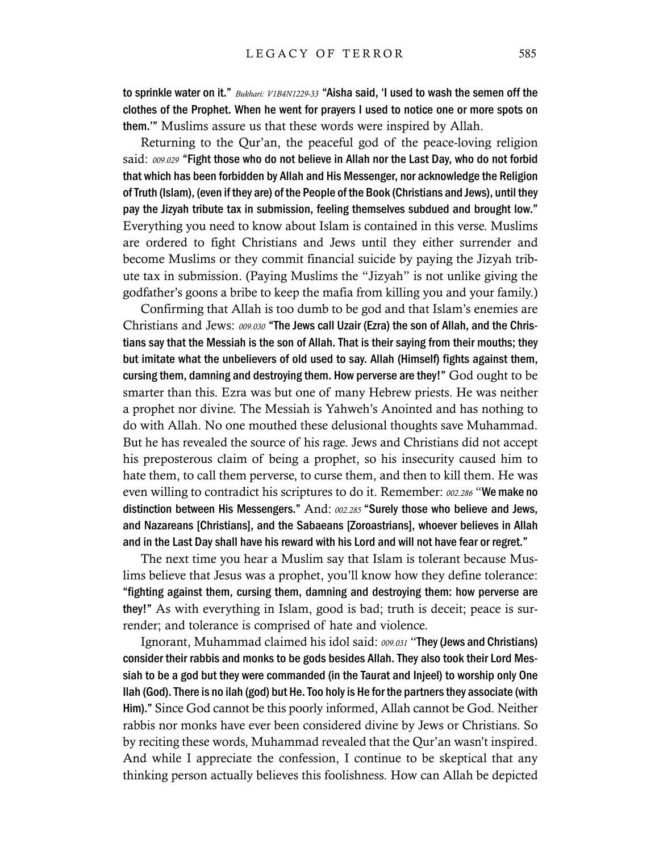to sprinkle water on it." *Bukhari: V1B4N1229-33* "Aisha said, 'I used to wash the semen off the clothes of the Prophet. When he went for prayers I used to notice one or more spots on them.'" Muslims assure us that these words were inspired by Allah.

Returning to the Qur'an, the peaceful god of the peace-loving religion said: *009.029* "Fight those who do not believe in Allah nor the Last Day, who do not forbid that which has been forbidden by Allah and His Messenger, nor acknowledge the Religion of Truth (Islam), (even if they are) of the People of the Book (Christians and Jews), until they pay the Jizyah tribute tax in submission, feeling themselves subdued and brought low." Everything you need to know about Islam is contained in this verse. Muslims are ordered to fight Christians and Jews until they either surrender and become Muslims or they commit financial suicide by paying the Jizyah tribute tax in submission. (Paying Muslims the "Jizyah" is not unlike giving the godfather's goons a bribe to keep the mafia from killing you and your family.)

Confirming that Allah is too dumb to be god and that Islam's enemies are Christians and Jews: *009.030* "The Jews call Uzair (Ezra) the son of Allah, and the Christians say that the Messiah is the son of Allah. That is their saying from their mouths; they but imitate what the unbelievers of old used to say. Allah (Himself) fights against them, cursing them, damning and destroying them. How perverse are they!" God ought to be smarter than this. Ezra was but one of many Hebrew priests. He was neither a prophet nor divine. The Messiah is Yahweh's Anointed and has nothing to do with Allah. No one mouthed these delusional thoughts save Muhammad. But he has revealed the source of his rage. Jews and Christians did not accept his preposterous claim of being a prophet, so his insecurity caused him to hate them, to call them perverse, to curse them, and then to kill them. He was even willing to contradict his scriptures to do it. Remember: *002.286* "We make no distinction between His Messengers." And: *002.285* "Surely those who believe and Jews, and Nazareans [Christians], and the Sabaeans [Zoroastrians], whoever believes in Allah and in the Last Day shall have his reward with his Lord and will not have fear or regret."

The next time you hear a Muslim say that Islam is tolerant because Muslims believe that Jesus was a prophet, you'll know how they define tolerance: "fighting against them, cursing them, damning and destroying them: how perverse are they!" As with everything in Islam, good is bad; truth is deceit; peace is surrender; and tolerance is comprised of hate and violence.

Ignorant, Muhammad claimed his idol said: *009.031* "They (Jews and Christians) consider their rabbis and monks to be gods besides Allah. They also took their Lord Messiah to be a god but they were commanded (in the Taurat and Injeel) to worship only One Ilah (God). There is no ilah (god) but He. Too holy is He for the partners they associate (with Him)." Since God cannot be this poorly informed, Allah cannot be God. Neither rabbis nor monks have ever been considered divine by Jews or Christians. So by reciting these words, Muhammad revealed that the Qur'an wasn't inspired. And while I appreciate the confession, I continue to be skeptical that any thinking person actually believes this foolishness. How can Allah be depicted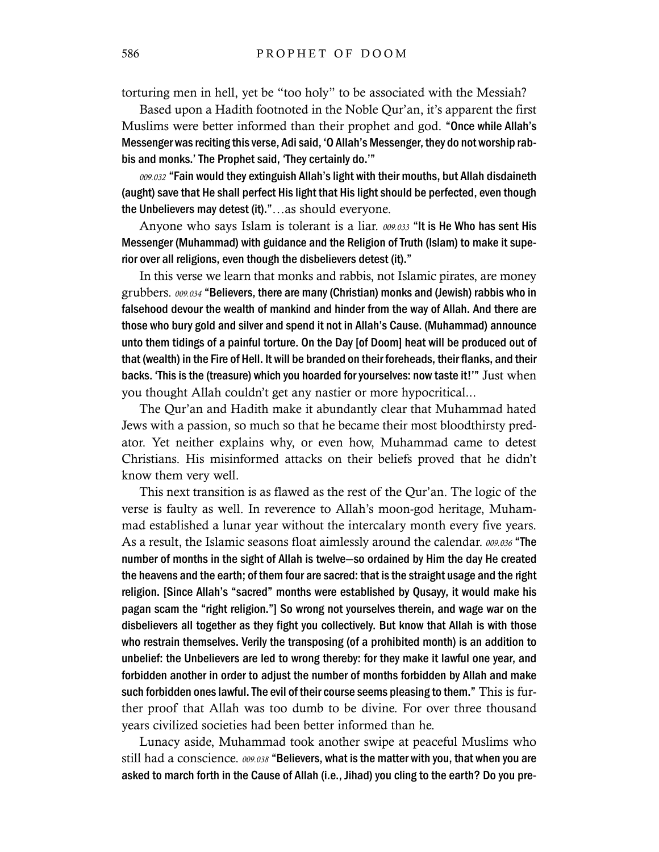torturing men in hell, yet be "too holy" to be associated with the Messiah?

Based upon a Hadith footnoted in the Noble Qur'an, it's apparent the first Muslims were better informed than their prophet and god. "Once while Allah's Messenger was reciting this verse, Adi said, 'O Allah's Messenger, they do not worship rabbis and monks.' The Prophet said, 'They certainly do.'"

*009.032* "Fain would they extinguish Allah's light with their mouths, but Allah disdaineth (aught) save that He shall perfect His light that His light should be perfected, even though the Unbelievers may detest (it)."…as should everyone.

Anyone who says Islam is tolerant is a liar. *009.033* "It is He Who has sent His Messenger (Muhammad) with guidance and the Religion of Truth (Islam) to make it superior over all religions, even though the disbelievers detest (it)."

In this verse we learn that monks and rabbis, not Islamic pirates, are money grubbers. *009.034* "Believers, there are many (Christian) monks and (Jewish) rabbis who in falsehood devour the wealth of mankind and hinder from the way of Allah. And there are those who bury gold and silver and spend it not in Allah's Cause. (Muhammad) announce unto them tidings of a painful torture. On the Day [of Doom] heat will be produced out of that (wealth) in the Fire of Hell. It will be branded on their foreheads, their flanks, and their backs. 'This is the (treasure) which you hoarded for yourselves: now taste it!'" Just when you thought Allah couldn't get any nastier or more hypocritical...

The Qur'an and Hadith make it abundantly clear that Muhammad hated Jews with a passion, so much so that he became their most bloodthirsty predator. Yet neither explains why, or even how, Muhammad came to detest Christians. His misinformed attacks on their beliefs proved that he didn't know them very well.

This next transition is as flawed as the rest of the Qur'an. The logic of the verse is faulty as well. In reverence to Allah's moon-god heritage, Muhammad established a lunar year without the intercalary month every five years. As a result, the Islamic seasons float aimlessly around the calendar. *009.036* "The number of months in the sight of Allah is twelve—so ordained by Him the day He created the heavens and the earth; of them four are sacred: that is the straight usage and the right religion. [Since Allah's "sacred" months were established by Qusayy, it would make his pagan scam the "right religion."] So wrong not yourselves therein, and wage war on the disbelievers all together as they fight you collectively. But know that Allah is with those who restrain themselves. Verily the transposing (of a prohibited month) is an addition to unbelief: the Unbelievers are led to wrong thereby: for they make it lawful one year, and forbidden another in order to adjust the number of months forbidden by Allah and make such forbidden ones lawful. The evil of their course seems pleasing to them." This is further proof that Allah was too dumb to be divine. For over three thousand years civilized societies had been better informed than he.

Lunacy aside, Muhammad took another swipe at peaceful Muslims who still had a conscience. *009.038* "Believers, what is the matter with you, that when you are asked to march forth in the Cause of Allah (i.e., Jihad) you cling to the earth? Do you pre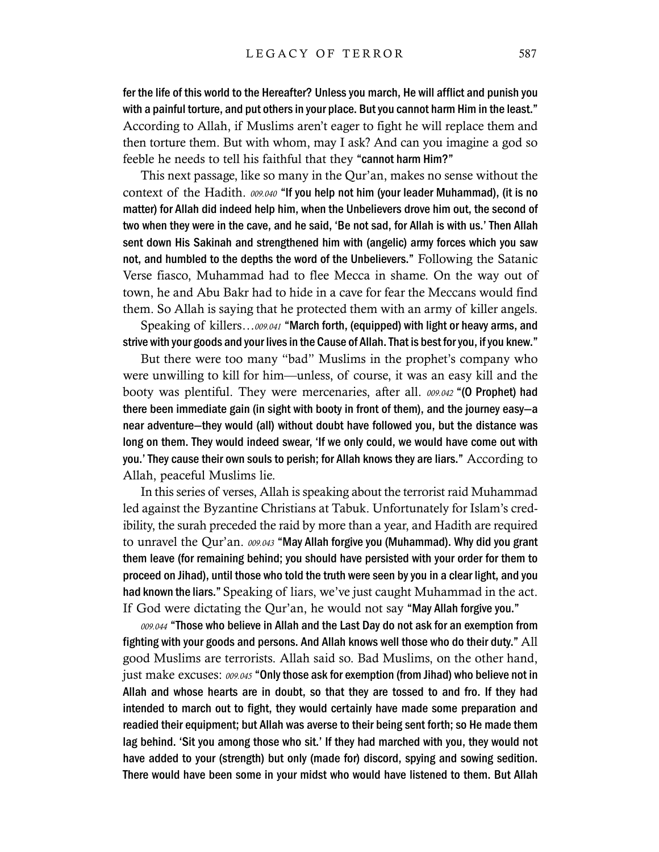fer the life of this world to the Hereafter? Unless you march, He will afflict and punish you with a painful torture, and put others in your place. But you cannot harm Him in the least." According to Allah, if Muslims aren't eager to fight he will replace them and then torture them. But with whom, may I ask? And can you imagine a god so feeble he needs to tell his faithful that they "cannot harm Him?"

This next passage, like so many in the Qur'an, makes no sense without the context of the Hadith. *009.040* "If you help not him (your leader Muhammad), (it is no matter) for Allah did indeed help him, when the Unbelievers drove him out, the second of two when they were in the cave, and he said, 'Be not sad, for Allah is with us.' Then Allah sent down His Sakinah and strengthened him with (angelic) army forces which you saw not, and humbled to the depths the word of the Unbelievers." Following the Satanic Verse fiasco, Muhammad had to flee Mecca in shame. On the way out of town, he and Abu Bakr had to hide in a cave for fear the Meccans would find them. So Allah is saying that he protected them with an army of killer angels.

Speaking of killers…*009.041* "March forth, (equipped) with light or heavy arms, and strive with your goods and your lives in the Cause of Allah. That is best for you, if you knew."

But there were too many "bad" Muslims in the prophet's company who were unwilling to kill for him—unless, of course, it was an easy kill and the booty was plentiful. They were mercenaries, after all. *009.042* "(O Prophet) had there been immediate gain (in sight with booty in front of them), and the journey easy—a near adventure—they would (all) without doubt have followed you, but the distance was long on them. They would indeed swear, 'If we only could, we would have come out with you.' They cause their own souls to perish; for Allah knows they are liars." According to Allah, peaceful Muslims lie.

In this series of verses, Allah is speaking about the terrorist raid Muhammad led against the Byzantine Christians at Tabuk. Unfortunately for Islam's credibility, the surah preceded the raid by more than a year, and Hadith are required to unravel the Qur'an. *009.043* "May Allah forgive you (Muhammad). Why did you grant them leave (for remaining behind; you should have persisted with your order for them to proceed on Jihad), until those who told the truth were seen by you in a clear light, and you had known the liars." Speaking of liars, we've just caught Muhammad in the act. If God were dictating the Qur'an, he would not say "May Allah forgive you."

*009.044* "Those who believe in Allah and the Last Day do not ask for an exemption from fighting with your goods and persons. And Allah knows well those who do their duty." All good Muslims are terrorists. Allah said so. Bad Muslims, on the other hand, just make excuses: *009.045* "Only those ask for exemption (from Jihad) who believe not in Allah and whose hearts are in doubt, so that they are tossed to and fro. If they had intended to march out to fight, they would certainly have made some preparation and readied their equipment; but Allah was averse to their being sent forth; so He made them lag behind. 'Sit you among those who sit.' If they had marched with you, they would not have added to your (strength) but only (made for) discord, spying and sowing sedition. There would have been some in your midst who would have listened to them. But Allah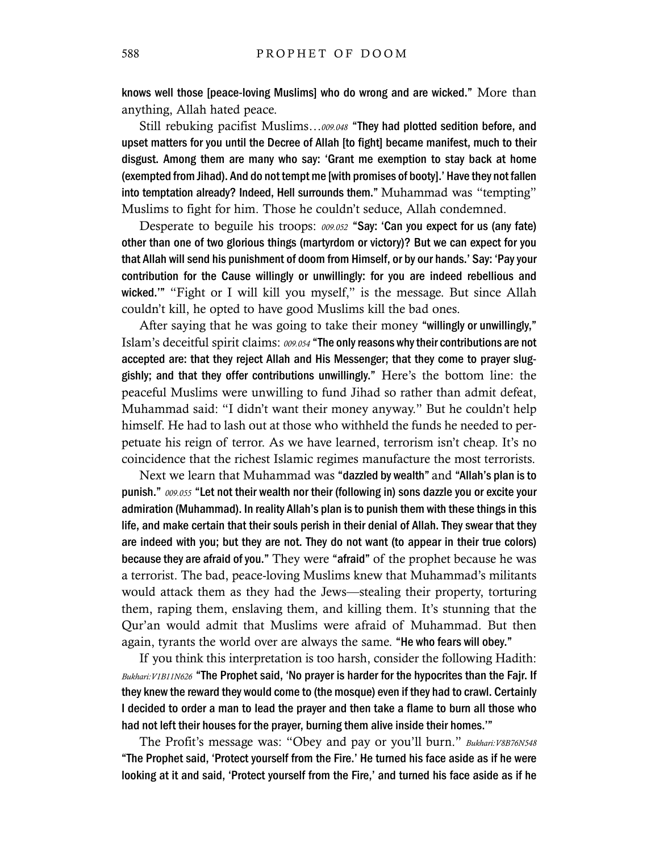knows well those [peace-loving Muslims] who do wrong and are wicked." More than anything, Allah hated peace.

Still rebuking pacifist Muslims…*009.048* "They had plotted sedition before, and upset matters for you until the Decree of Allah [to fight] became manifest, much to their disgust. Among them are many who say: 'Grant me exemption to stay back at home (exempted from Jihad). And do not tempt me [with promises of booty].' Have they not fallen into temptation already? Indeed, Hell surrounds them." Muhammad was "tempting" Muslims to fight for him. Those he couldn't seduce, Allah condemned.

Desperate to beguile his troops: *009.052* "Say: 'Can you expect for us (any fate) other than one of two glorious things (martyrdom or victory)? But we can expect for you that Allah will send his punishment of doom from Himself, or by our hands.' Say: 'Pay your contribution for the Cause willingly or unwillingly: for you are indeed rebellious and wicked.'" "Fight or I will kill you myself," is the message. But since Allah couldn't kill, he opted to have good Muslims kill the bad ones.

After saying that he was going to take their money "willingly or unwillingly," Islam's deceitful spirit claims: *009.054* "The only reasons why their contributions are not accepted are: that they reject Allah and His Messenger; that they come to prayer sluggishly; and that they offer contributions unwillingly." Here's the bottom line: the peaceful Muslims were unwilling to fund Jihad so rather than admit defeat, Muhammad said: "I didn't want their money anyway." But he couldn't help himself. He had to lash out at those who withheld the funds he needed to perpetuate his reign of terror. As we have learned, terrorism isn't cheap. It's no coincidence that the richest Islamic regimes manufacture the most terrorists.

Next we learn that Muhammad was "dazzled by wealth" and "Allah's plan is to punish." *009.055* "Let not their wealth nor their (following in) sons dazzle you or excite your admiration (Muhammad). In reality Allah's plan is to punish them with these things in this life, and make certain that their souls perish in their denial of Allah. They swear that they are indeed with you; but they are not. They do not want (to appear in their true colors) because they are afraid of you." They were "afraid" of the prophet because he was a terrorist. The bad, peace-loving Muslims knew that Muhammad's militants would attack them as they had the Jews—stealing their property, torturing them, raping them, enslaving them, and killing them. It's stunning that the Qur'an would admit that Muslims were afraid of Muhammad. But then again, tyrants the world over are always the same. "He who fears will obey."

If you think this interpretation is too harsh, consider the following Hadith: *Bukhari:V1B11N626* "The Prophet said, 'No prayer is harder for the hypocrites than the Fajr. If they knew the reward they would come to (the mosque) even if they had to crawl. Certainly I decided to order a man to lead the prayer and then take a flame to burn all those who had not left their houses for the prayer, burning them alive inside their homes.'"

The Profit's message was: "Obey and pay or you'll burn." *Bukhari:V8B76N548* "The Prophet said, 'Protect yourself from the Fire.' He turned his face aside as if he were looking at it and said, 'Protect yourself from the Fire,' and turned his face aside as if he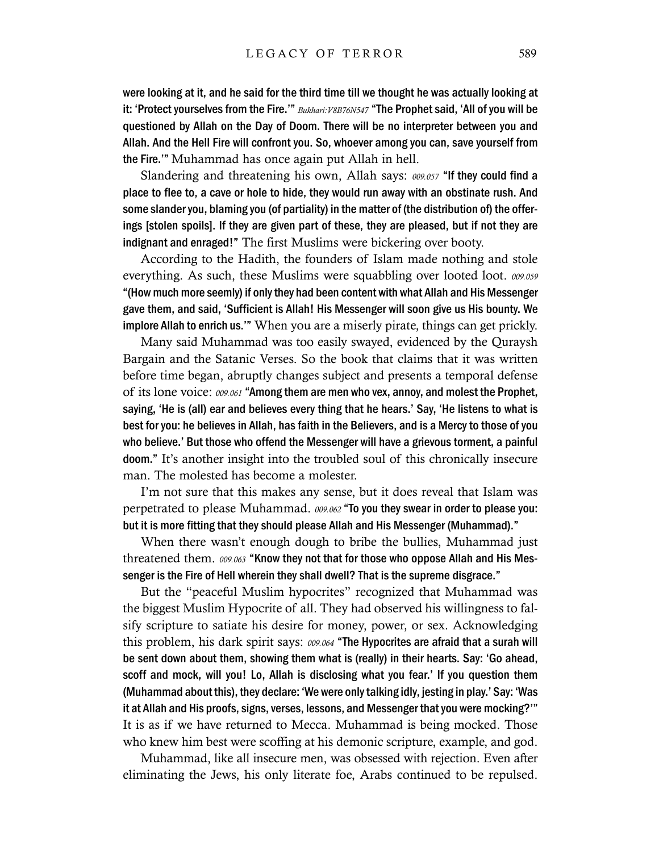were looking at it, and he said for the third time till we thought he was actually looking at it: 'Protect yourselves from the Fire.'" *Bukhari:V8B76N547* "The Prophet said, 'All of you will be questioned by Allah on the Day of Doom. There will be no interpreter between you and Allah. And the Hell Fire will confront you. So, whoever among you can, save yourself from the Fire.'" Muhammad has once again put Allah in hell.

Slandering and threatening his own, Allah says: *009.057* "If they could find a place to flee to, a cave or hole to hide, they would run away with an obstinate rush. And some slander you, blaming you (of partiality) in the matter of (the distribution of) the offerings [stolen spoils]. If they are given part of these, they are pleased, but if not they are indignant and enraged!" The first Muslims were bickering over booty.

According to the Hadith, the founders of Islam made nothing and stole everything. As such, these Muslims were squabbling over looted loot. *009.059* "(How much more seemly) if only they had been content with what Allah and His Messenger gave them, and said, 'Sufficient is Allah! His Messenger will soon give us His bounty. We implore Allah to enrich us.'" When you are a miserly pirate, things can get prickly.

Many said Muhammad was too easily swayed, evidenced by the Quraysh Bargain and the Satanic Verses. So the book that claims that it was written before time began, abruptly changes subject and presents a temporal defense of its lone voice: *009.061* "Among them are men who vex, annoy, and molest the Prophet, saying, 'He is (all) ear and believes every thing that he hears.' Say, 'He listens to what is best for you: he believes in Allah, has faith in the Believers, and is a Mercy to those of you who believe.' But those who offend the Messenger will have a grievous torment, a painful doom." It's another insight into the troubled soul of this chronically insecure man. The molested has become a molester.

I'm not sure that this makes any sense, but it does reveal that Islam was perpetrated to please Muhammad. *009.062* "To you they swear in order to please you: but it is more fitting that they should please Allah and His Messenger (Muhammad)."

When there wasn't enough dough to bribe the bullies, Muhammad just threatened them. *009.063* "Know they not that for those who oppose Allah and His Messenger is the Fire of Hell wherein they shall dwell? That is the supreme disgrace."

But the "peaceful Muslim hypocrites" recognized that Muhammad was the biggest Muslim Hypocrite of all. They had observed his willingness to falsify scripture to satiate his desire for money, power, or sex. Acknowledging this problem, his dark spirit says: *009.064* "The Hypocrites are afraid that a surah will be sent down about them, showing them what is (really) in their hearts. Say: 'Go ahead, scoff and mock, will you! Lo, Allah is disclosing what you fear.' If you question them (Muhammad about this), they declare: 'We were only talking idly, jesting in play.' Say: 'Was it at Allah and His proofs, signs, verses, lessons, and Messenger that you were mocking?'" It is as if we have returned to Mecca. Muhammad is being mocked. Those who knew him best were scoffing at his demonic scripture, example, and god.

Muhammad, like all insecure men, was obsessed with rejection. Even after eliminating the Jews, his only literate foe, Arabs continued to be repulsed.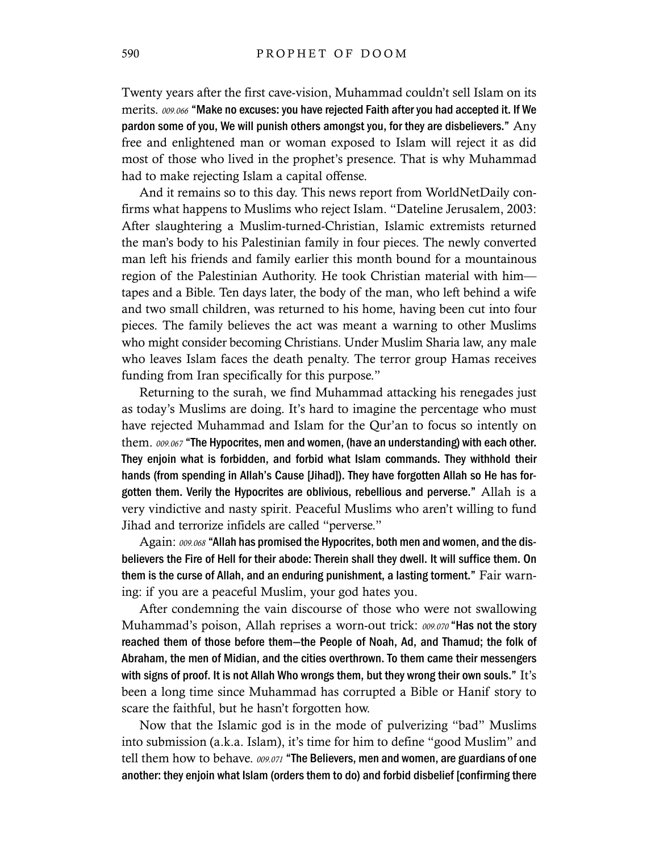Twenty years after the first cave-vision, Muhammad couldn't sell Islam on its merits. *009.066* "Make no excuses: you have rejected Faith after you had accepted it. If We pardon some of you, We will punish others amongst you, for they are disbelievers." Any free and enlightened man or woman exposed to Islam will reject it as did most of those who lived in the prophet's presence. That is why Muhammad had to make rejecting Islam a capital offense.

And it remains so to this day. This news report from WorldNetDaily confirms what happens to Muslims who reject Islam. "Dateline Jerusalem, 2003: After slaughtering a Muslim-turned-Christian, Islamic extremists returned the man's body to his Palestinian family in four pieces. The newly converted man left his friends and family earlier this month bound for a mountainous region of the Palestinian Authority. He took Christian material with him tapes and a Bible. Ten days later, the body of the man, who left behind a wife and two small children, was returned to his home, having been cut into four pieces. The family believes the act was meant a warning to other Muslims who might consider becoming Christians. Under Muslim Sharia law, any male who leaves Islam faces the death penalty. The terror group Hamas receives funding from Iran specifically for this purpose."

Returning to the surah, we find Muhammad attacking his renegades just as today's Muslims are doing. It's hard to imagine the percentage who must have rejected Muhammad and Islam for the Qur'an to focus so intently on them. *009.067* "The Hypocrites, men and women, (have an understanding) with each other. They enjoin what is forbidden, and forbid what Islam commands. They withhold their hands (from spending in Allah's Cause [Jihad]). They have forgotten Allah so He has forgotten them. Verily the Hypocrites are oblivious, rebellious and perverse." Allah is a very vindictive and nasty spirit. Peaceful Muslims who aren't willing to fund Jihad and terrorize infidels are called "perverse."

Again:  $0.090068$  "Allah has promised the Hypocrites, both men and women, and the disbelievers the Fire of Hell for their abode: Therein shall they dwell. It will suffice them. On them is the curse of Allah, and an enduring punishment, a lasting torment." Fair warning: if you are a peaceful Muslim, your god hates you.

After condemning the vain discourse of those who were not swallowing Muhammad's poison, Allah reprises a worn-out trick: *009.070* "Has not the story reached them of those before them—the People of Noah, Ad, and Thamud; the folk of Abraham, the men of Midian, and the cities overthrown. To them came their messengers with signs of proof. It is not Allah Who wrongs them, but they wrong their own souls." It's been a long time since Muhammad has corrupted a Bible or Hanif story to scare the faithful, but he hasn't forgotten how.

Now that the Islamic god is in the mode of pulverizing "bad" Muslims into submission (a.k.a. Islam), it's time for him to define "good Muslim" and tell them how to behave. *009.071* "The Believers, men and women, are guardians of one another: they enjoin what Islam (orders them to do) and forbid disbelief [confirming there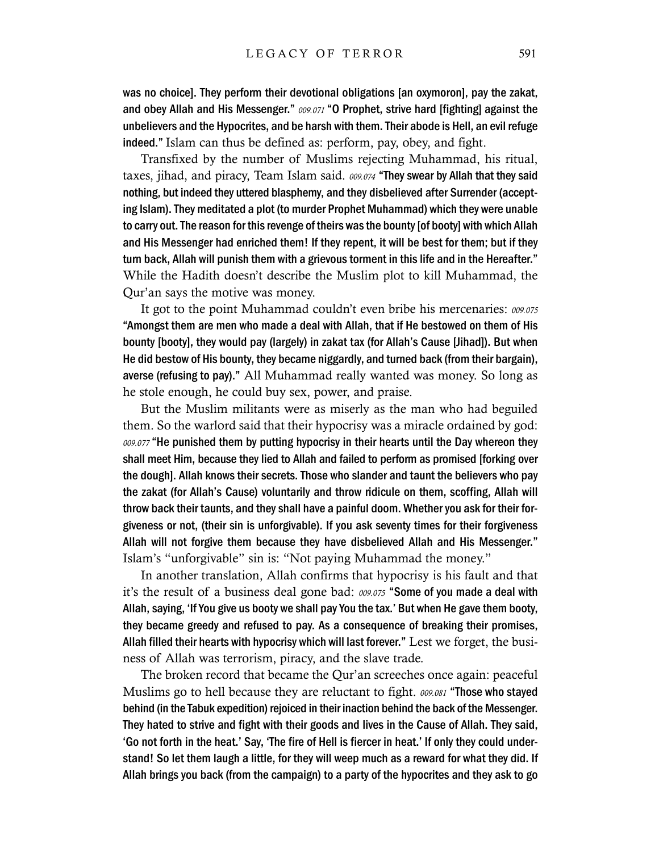was no choice]. They perform their devotional obligations [an oxymoron], pay the zakat, and obey Allah and His Messenger." *009.071* "O Prophet, strive hard [fighting] against the unbelievers and the Hypocrites, and be harsh with them. Their abode is Hell, an evil refuge indeed." Islam can thus be defined as: perform, pay, obey, and fight.

Transfixed by the number of Muslims rejecting Muhammad, his ritual, taxes, jihad, and piracy, Team Islam said. *009.074* "They swear by Allah that they said nothing, but indeed they uttered blasphemy, and they disbelieved after Surrender (accepting Islam). They meditated a plot (to murder Prophet Muhammad) which they were unable to carry out. The reason for this revenge of theirs was the bounty [of booty] with which Allah and His Messenger had enriched them! If they repent, it will be best for them; but if they turn back, Allah will punish them with a grievous torment in this life and in the Hereafter." While the Hadith doesn't describe the Muslim plot to kill Muhammad, the Qur'an says the motive was money.

It got to the point Muhammad couldn't even bribe his mercenaries: *009.075* "Amongst them are men who made a deal with Allah, that if He bestowed on them of His bounty [booty], they would pay (largely) in zakat tax (for Allah's Cause [Jihad]). But when He did bestow of His bounty, they became niggardly, and turned back (from their bargain), averse (refusing to pay)." All Muhammad really wanted was money. So long as he stole enough, he could buy sex, power, and praise.

But the Muslim militants were as miserly as the man who had beguiled them. So the warlord said that their hypocrisy was a miracle ordained by god: *009.077* "He punished them by putting hypocrisy in their hearts until the Day whereon they shall meet Him, because they lied to Allah and failed to perform as promised [forking over the dough]. Allah knows their secrets. Those who slander and taunt the believers who pay the zakat (for Allah's Cause) voluntarily and throw ridicule on them, scoffing, Allah will throw back their taunts, and they shall have a painful doom. Whether you ask for their forgiveness or not, (their sin is unforgivable). If you ask seventy times for their forgiveness Allah will not forgive them because they have disbelieved Allah and His Messenger." Islam's "unforgivable" sin is: "Not paying Muhammad the money."

In another translation, Allah confirms that hypocrisy is his fault and that it's the result of a business deal gone bad: *009.075* "Some of you made a deal with Allah, saying, 'If You give us booty we shall pay You the tax.' But when He gave them booty, they became greedy and refused to pay. As a consequence of breaking their promises, Allah filled their hearts with hypocrisy which will last forever." Lest we forget, the business of Allah was terrorism, piracy, and the slave trade.

The broken record that became the Qur'an screeches once again: peaceful Muslims go to hell because they are reluctant to fight. *009.081* "Those who stayed behind (in the Tabuk expedition) rejoiced in their inaction behind the back of the Messenger. They hated to strive and fight with their goods and lives in the Cause of Allah. They said, 'Go not forth in the heat.' Say, 'The fire of Hell is fiercer in heat.' If only they could understand! So let them laugh a little, for they will weep much as a reward for what they did. If Allah brings you back (from the campaign) to a party of the hypocrites and they ask to go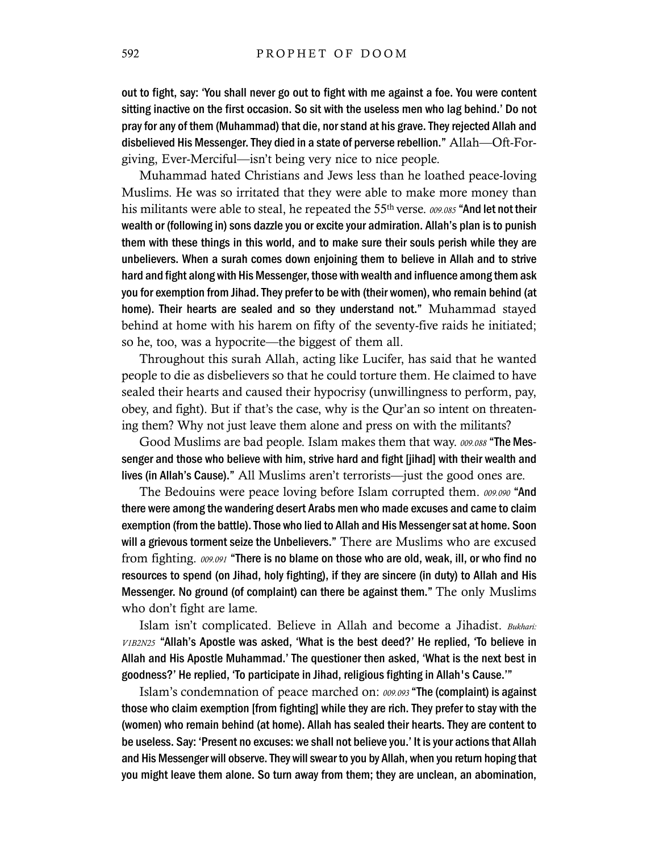out to fight, say: 'You shall never go out to fight with me against a foe. You were content sitting inactive on the first occasion. So sit with the useless men who lag behind.' Do not pray for any of them (Muhammad) that die, nor stand at his grave. They rejected Allah and disbelieved His Messenger. They died in a state of perverse rebellion." Allah—Oft-Forgiving, Ever-Merciful—isn't being very nice to nice people.

Muhammad hated Christians and Jews less than he loathed peace-loving Muslims. He was so irritated that they were able to make more money than his militants were able to steal, he repeated the 55th verse. *009.085* "And let not their wealth or (following in) sons dazzle you or excite your admiration. Allah's plan is to punish them with these things in this world, and to make sure their souls perish while they are unbelievers. When a surah comes down enjoining them to believe in Allah and to strive hard and fight along with His Messenger, those with wealth and influence among them ask you for exemption from Jihad. They prefer to be with (their women), who remain behind (at home). Their hearts are sealed and so they understand not." Muhammad stayed behind at home with his harem on fifty of the seventy-five raids he initiated; so he, too, was a hypocrite—the biggest of them all.

Throughout this surah Allah, acting like Lucifer, has said that he wanted people to die as disbelievers so that he could torture them. He claimed to have sealed their hearts and caused their hypocrisy (unwillingness to perform, pay, obey, and fight). But if that's the case, why is the Qur'an so intent on threatening them? Why not just leave them alone and press on with the militants?

Good Muslims are bad people. Islam makes them that way. *009.088* "The Messenger and those who believe with him, strive hard and fight [jihad] with their wealth and lives (in Allah's Cause)." All Muslims aren't terrorists—just the good ones are.

The Bedouins were peace loving before Islam corrupted them. *009.090* "And there were among the wandering desert Arabs men who made excuses and came to claim exemption (from the battle). Those who lied to Allah and His Messenger sat at home. Soon will a grievous torment seize the Unbelievers." There are Muslims who are excused from fighting. *009.091* "There is no blame on those who are old, weak, ill, or who find no resources to spend (on Jihad, holy fighting), if they are sincere (in duty) to Allah and His Messenger. No ground (of complaint) can there be against them." The only Muslims who don't fight are lame.

Islam isn't complicated. Believe in Allah and become a Jihadist. *Bukhari: V1B2N25* "Allah's Apostle was asked, 'What is the best deed?' He replied, 'To believe in Allah and His Apostle Muhammad.' The questioner then asked, 'What is the next best in goodness?' He replied, 'To participate in Jihad, religious fighting in Allah's Cause.'"

Islam's condemnation of peace marched on: *009.093* "The (complaint) is against those who claim exemption [from fighting] while they are rich. They prefer to stay with the (women) who remain behind (at home). Allah has sealed their hearts. They are content to be useless. Say: 'Present no excuses: we shall not believe you.' It is your actions that Allah and His Messenger will observe. They will swear to you by Allah, when you return hoping that you might leave them alone. So turn away from them; they are unclean, an abomination,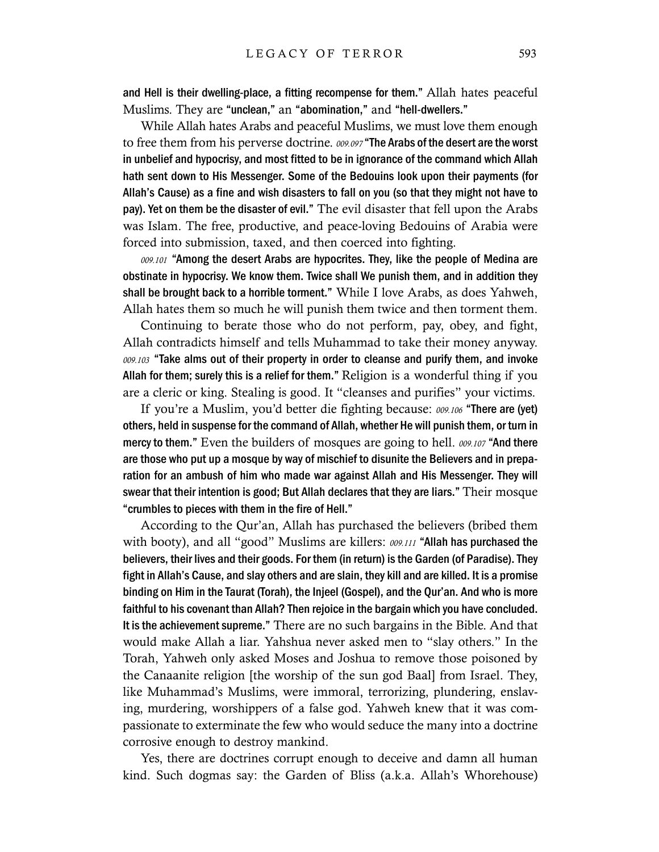and Hell is their dwelling-place, a fitting recompense for them." Allah hates peaceful Muslims. They are "unclean," an "abomination," and "hell-dwellers."

While Allah hates Arabs and peaceful Muslims, we must love them enough to free them from his perverse doctrine. *009.097* "The Arabs of the desert are the worst in unbelief and hypocrisy, and most fitted to be in ignorance of the command which Allah hath sent down to His Messenger. Some of the Bedouins look upon their payments (for Allah's Cause) as a fine and wish disasters to fall on you (so that they might not have to pay). Yet on them be the disaster of evil." The evil disaster that fell upon the Arabs was Islam. The free, productive, and peace-loving Bedouins of Arabia were forced into submission, taxed, and then coerced into fighting.

*009.101* "Among the desert Arabs are hypocrites. They, like the people of Medina are obstinate in hypocrisy. We know them. Twice shall We punish them, and in addition they shall be brought back to a horrible torment." While I love Arabs, as does Yahweh, Allah hates them so much he will punish them twice and then torment them.

Continuing to berate those who do not perform, pay, obey, and fight, Allah contradicts himself and tells Muhammad to take their money anyway. *009.103* "Take alms out of their property in order to cleanse and purify them, and invoke Allah for them; surely this is a relief for them." Religion is a wonderful thing if you are a cleric or king. Stealing is good. It "cleanses and purifies" your victims.

If you're a Muslim, you'd better die fighting because: *009.106* "There are (yet) others, held in suspense for the command of Allah, whether He will punish them, or turn in mercy to them." Even the builders of mosques are going to hell. *009.107* "And there are those who put up a mosque by way of mischief to disunite the Believers and in preparation for an ambush of him who made war against Allah and His Messenger. They will swear that their intention is good; But Allah declares that they are liars." Their mosque "crumbles to pieces with them in the fire of Hell."

According to the Qur'an, Allah has purchased the believers (bribed them with booty), and all "good" Muslims are killers: *009.111* "Allah has purchased the believers, their lives and their goods. For them (in return) is the Garden (of Paradise). They fight in Allah's Cause, and slay others and are slain, they kill and are killed. It is a promise binding on Him in the Taurat (Torah), the Injeel (Gospel), and the Qur'an. And who is more faithful to his covenant than Allah? Then rejoice in the bargain which you have concluded. It is the achievement supreme." There are no such bargains in the Bible. And that would make Allah a liar. Yahshua never asked men to "slay others." In the Torah, Yahweh only asked Moses and Joshua to remove those poisoned by the Canaanite religion [the worship of the sun god Baal] from Israel. They, like Muhammad's Muslims, were immoral, terrorizing, plundering, enslaving, murdering, worshippers of a false god. Yahweh knew that it was compassionate to exterminate the few who would seduce the many into a doctrine corrosive enough to destroy mankind.

Yes, there are doctrines corrupt enough to deceive and damn all human kind. Such dogmas say: the Garden of Bliss (a.k.a. Allah's Whorehouse)